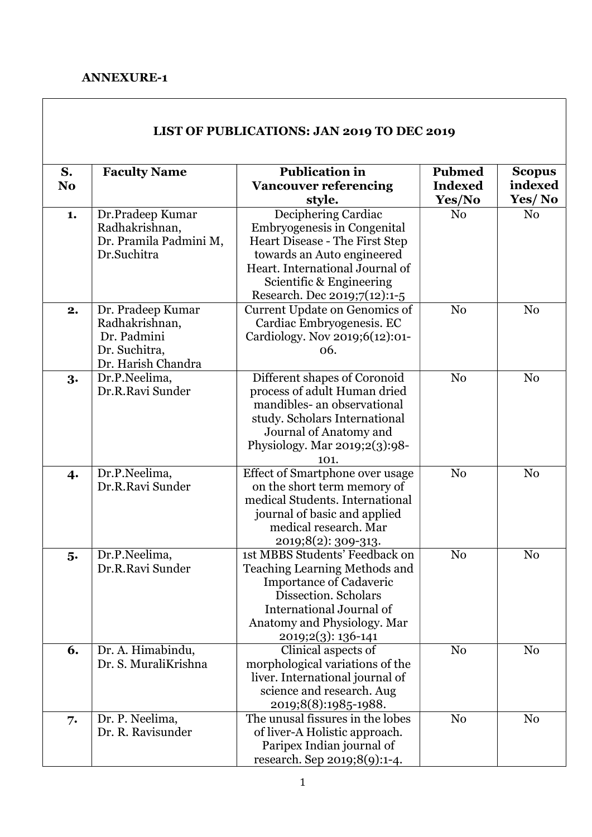## ANNEXURE-1

| S.<br>N <sub>o</sub> | <b>Faculty Name</b>                                                                       | <b>Publication in</b><br><b>Vancouver referencing</b><br>style.                                                                                                                                                   | <b>Pubmed</b><br><b>Indexed</b><br>Yes/No | <b>Scopus</b><br>indexed<br>Yes/No |
|----------------------|-------------------------------------------------------------------------------------------|-------------------------------------------------------------------------------------------------------------------------------------------------------------------------------------------------------------------|-------------------------------------------|------------------------------------|
| 1.                   | Dr.Pradeep Kumar<br>Radhakrishnan,<br>Dr. Pramila Padmini M,<br>Dr.Suchitra               | Deciphering Cardiac<br>Embryogenesis in Congenital<br>Heart Disease - The First Step<br>towards an Auto engineered<br>Heart. International Journal of<br>Scientific & Engineering<br>Research. Dec 2019;7(12):1-5 | N <sub>0</sub>                            | N <sub>0</sub>                     |
| 2.                   | Dr. Pradeep Kumar<br>Radhakrishnan,<br>Dr. Padmini<br>Dr. Suchitra,<br>Dr. Harish Chandra | <b>Current Update on Genomics of</b><br>Cardiac Embryogenesis. EC<br>Cardiology. Nov 2019;6(12):01-<br>06.                                                                                                        | N <sub>0</sub>                            | N <sub>0</sub>                     |
| 3.                   | Dr.P.Neelima,<br>Dr.R.Ravi Sunder                                                         | Different shapes of Coronoid<br>process of adult Human dried<br>mandibles- an observational<br>study. Scholars International<br>Journal of Anatomy and<br>Physiology. Mar 2019;2(3):98-<br>101.                   | N <sub>0</sub>                            | N <sub>0</sub>                     |
| 4.                   | Dr.P.Neelima,<br>Dr.R.Ravi Sunder                                                         | Effect of Smartphone over usage<br>on the short term memory of<br>medical Students. International<br>journal of basic and applied<br>medical research. Mar<br>2019;8(2): 309-313.                                 | N <sub>0</sub>                            | N <sub>0</sub>                     |
| 5.                   | Dr.P.Neelima,<br>Dr.R.Ravi Sunder                                                         | 1st MBBS Students' Feedback on<br><b>Teaching Learning Methods and</b><br><b>Importance of Cadaveric</b><br>Dissection. Scholars<br>International Journal of<br>Anatomy and Physiology. Mar<br>2019;2(3): 136-141 | N <sub>0</sub>                            | N <sub>0</sub>                     |
| 6.                   | Dr. A. Himabindu,<br>Dr. S. MuraliKrishna                                                 | Clinical aspects of<br>morphological variations of the<br>liver. International journal of<br>science and research. Aug<br>2019;8(8):1985-1988.                                                                    | N <sub>0</sub>                            | N <sub>0</sub>                     |
| 7.                   | Dr. P. Neelima,<br>Dr. R. Ravisunder                                                      | The unusal fissures in the lobes<br>of liver-A Holistic approach.<br>Paripex Indian journal of<br>research. Sep 2019;8(9):1-4.                                                                                    | N <sub>o</sub>                            | N <sub>0</sub>                     |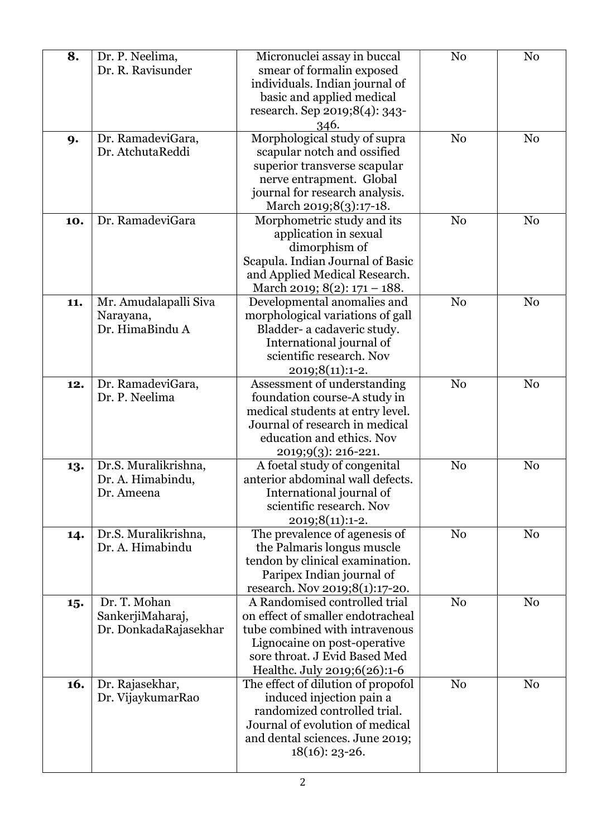| 8.  | Dr. P. Neelima,       | Micronuclei assay in buccal                                        | N <sub>0</sub> | N <sub>o</sub> |
|-----|-----------------------|--------------------------------------------------------------------|----------------|----------------|
|     | Dr. R. Ravisunder     | smear of formalin exposed                                          |                |                |
|     |                       | individuals. Indian journal of                                     |                |                |
|     |                       | basic and applied medical                                          |                |                |
|     |                       | research. Sep 2019;8(4): 343-                                      |                |                |
|     |                       | 346.                                                               |                |                |
| 9.  | Dr. RamadeviGara,     | Morphological study of supra                                       | N <sub>o</sub> | N <sub>0</sub> |
|     | Dr. AtchutaReddi      | scapular notch and ossified                                        |                |                |
|     |                       | superior transverse scapular                                       |                |                |
|     |                       | nerve entrapment. Global                                           |                |                |
|     |                       | journal for research analysis.                                     |                |                |
|     |                       | March 2019;8(3):17-18.                                             |                |                |
| 10. | Dr. RamadeviGara      | Morphometric study and its                                         | N <sub>o</sub> | N <sub>0</sub> |
|     |                       | application in sexual                                              |                |                |
|     |                       | dimorphism of                                                      |                |                |
|     |                       | Scapula. Indian Journal of Basic                                   |                |                |
|     |                       | and Applied Medical Research.                                      |                |                |
|     |                       | March 2019; 8(2): 171 - 188.                                       |                |                |
| 11. | Mr. Amudalapalli Siva | Developmental anomalies and                                        | N <sub>o</sub> | N <sub>o</sub> |
|     | Narayana,             | morphological variations of gall                                   |                |                |
|     | Dr. HimaBindu A       | Bladder- a cadaveric study.                                        |                |                |
|     |                       | International journal of                                           |                |                |
|     |                       | scientific research. Nov                                           |                |                |
|     |                       | 2019;8(11):1-2.                                                    |                |                |
| 12. | Dr. RamadeviGara,     | Assessment of understanding                                        | N <sub>0</sub> | N <sub>0</sub> |
|     | Dr. P. Neelima        | foundation course-A study in                                       |                |                |
|     |                       | medical students at entry level.<br>Journal of research in medical |                |                |
|     |                       | education and ethics. Nov                                          |                |                |
|     |                       |                                                                    |                |                |
|     | Dr.S. Muralikrishna,  | 2019;9(3): 216-221.<br>A foetal study of congenital                | N <sub>o</sub> | No             |
| 13. | Dr. A. Himabindu,     | anterior abdominal wall defects.                                   |                |                |
|     | Dr. Ameena            | International journal of                                           |                |                |
|     |                       | scientific research. Nov                                           |                |                |
|     |                       | 2019;8(11):1-2.                                                    |                |                |
| 14. | Dr.S. Muralikrishna,  | The prevalence of agenesis of                                      | N <sub>o</sub> | N <sub>o</sub> |
|     | Dr. A. Himabindu      | the Palmaris longus muscle                                         |                |                |
|     |                       | tendon by clinical examination.                                    |                |                |
|     |                       | Paripex Indian journal of                                          |                |                |
|     |                       | research. Nov 2019;8(1):17-20.                                     |                |                |
| 15. | Dr. T. Mohan          | A Randomised controlled trial                                      | N <sub>o</sub> | N <sub>0</sub> |
|     | SankerjiMaharaj,      | on effect of smaller endotracheal                                  |                |                |
|     | Dr. DonkadaRajasekhar | tube combined with intravenous                                     |                |                |
|     |                       | Lignocaine on post-operative                                       |                |                |
|     |                       | sore throat. J Evid Based Med                                      |                |                |
|     |                       | Healthc. July 2019;6(26):1-6                                       |                |                |
| 16. | Dr. Rajasekhar,       | The effect of dilution of propofol                                 | N <sub>o</sub> | N <sub>0</sub> |
|     | Dr. VijaykumarRao     | induced injection pain a                                           |                |                |
|     |                       | randomized controlled trial.                                       |                |                |
|     |                       | Journal of evolution of medical                                    |                |                |
|     |                       | and dental sciences. June 2019;                                    |                |                |
|     |                       | $18(16)$ : 23-26.                                                  |                |                |
|     |                       |                                                                    |                |                |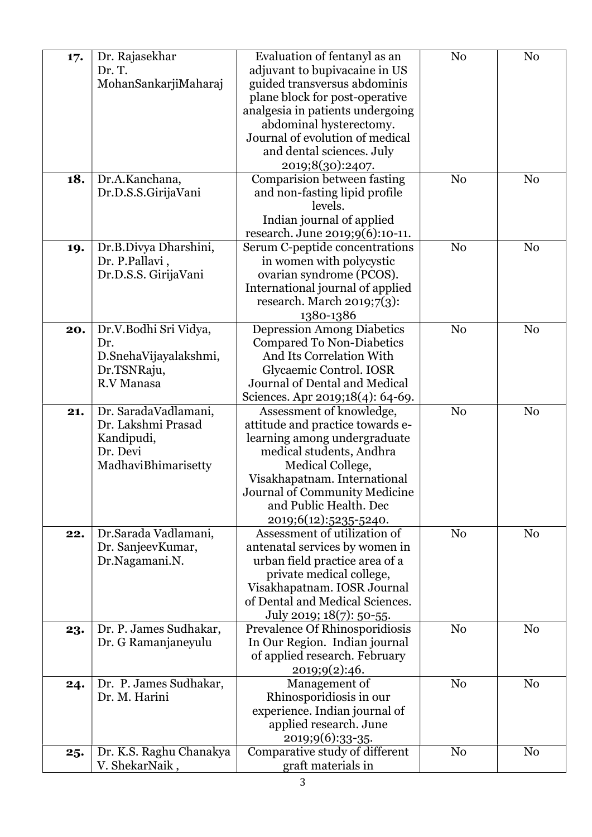| 17. | Dr. Rajasekhar          | Evaluation of fentanyl as an      | N <sub>0</sub> | N <sub>0</sub> |
|-----|-------------------------|-----------------------------------|----------------|----------------|
|     | Dr. T.                  | adjuvant to bupivacaine in US     |                |                |
|     | MohanSankarjiMaharaj    | guided transversus abdominis      |                |                |
|     |                         | plane block for post-operative    |                |                |
|     |                         | analgesia in patients undergoing  |                |                |
|     |                         |                                   |                |                |
|     |                         | abdominal hysterectomy.           |                |                |
|     |                         | Journal of evolution of medical   |                |                |
|     |                         | and dental sciences. July         |                |                |
|     |                         | 2019;8(30):2407.                  |                |                |
| 18. | Dr.A.Kanchana,          | Comparision between fasting       | N <sub>0</sub> | N <sub>0</sub> |
|     | Dr.D.S.S.GirijaVani     | and non-fasting lipid profile     |                |                |
|     |                         | levels.                           |                |                |
|     |                         | Indian journal of applied         |                |                |
|     |                         | research. June 2019;9(6):10-11.   |                |                |
| 19. | Dr.B.Divya Dharshini,   | Serum C-peptide concentrations    | N <sub>0</sub> | N <sub>0</sub> |
|     | Dr. P.Pallavi,          | in women with polycystic          |                |                |
|     | Dr.D.S.S. GirijaVani    | ovarian syndrome (PCOS).          |                |                |
|     |                         | International journal of applied  |                |                |
|     |                         | research. March $2019;7(3)$ :     |                |                |
|     |                         |                                   |                |                |
|     |                         | 1380-1386                         |                |                |
| 20. | Dr.V.Bodhi Sri Vidya,   | <b>Depression Among Diabetics</b> | N <sub>0</sub> | N <sub>0</sub> |
|     | Dr.                     | <b>Compared To Non-Diabetics</b>  |                |                |
|     | D.SnehaVijayalakshmi,   | And Its Correlation With          |                |                |
|     | Dr.TSNRaju,             | Glycaemic Control. IOSR           |                |                |
|     | R.V Manasa              | Journal of Dental and Medical     |                |                |
|     |                         | Sciences. Apr 2019;18(4): 64-69.  |                |                |
| 21. | Dr. SaradaVadlamani,    | Assessment of knowledge,          | N <sub>0</sub> | N <sub>o</sub> |
|     | Dr. Lakshmi Prasad      | attitude and practice towards e-  |                |                |
|     | Kandipudi,              | learning among undergraduate      |                |                |
|     | Dr. Devi                | medical students, Andhra          |                |                |
|     | MadhaviBhimarisetty     | Medical College,                  |                |                |
|     |                         | Visakhapatnam. International      |                |                |
|     |                         | Journal of Community Medicine     |                |                |
|     |                         | and Public Health. Dec            |                |                |
|     |                         | 2019;6(12):5235-5240.             |                |                |
|     | Dr.Sarada Vadlamani,    | Assessment of utilization of      | N <sub>0</sub> | N <sub>0</sub> |
| 22. |                         | antenatal services by women in    |                |                |
|     | Dr. SanjeevKumar,       |                                   |                |                |
|     | Dr.Nagamani.N.          | urban field practice area of a    |                |                |
|     |                         | private medical college,          |                |                |
|     |                         | Visakhapatnam. IOSR Journal       |                |                |
|     |                         | of Dental and Medical Sciences.   |                |                |
|     |                         | July 2019; 18(7): 50-55.          |                |                |
| 23. | Dr. P. James Sudhakar,  | Prevalence Of Rhinosporidiosis    | N <sub>0</sub> | N <sub>0</sub> |
|     | Dr. G Ramanjaneyulu     | In Our Region. Indian journal     |                |                |
|     |                         | of applied research. February     |                |                |
|     |                         | 2019;9(2):46.                     |                |                |
| 24. | Dr. P. James Sudhakar,  | Management of                     | N <sub>o</sub> | N <sub>0</sub> |
|     | Dr. M. Harini           | Rhinosporidiosis in our           |                |                |
|     |                         | experience. Indian journal of     |                |                |
|     |                         | applied research. June            |                |                |
|     |                         | 2019;9(6):33-35.                  |                |                |
| 25. | Dr. K.S. Raghu Chanakya | Comparative study of different    | No             | N <sub>0</sub> |
|     | V. ShekarNaik,          | graft materials in                |                |                |
|     |                         |                                   |                |                |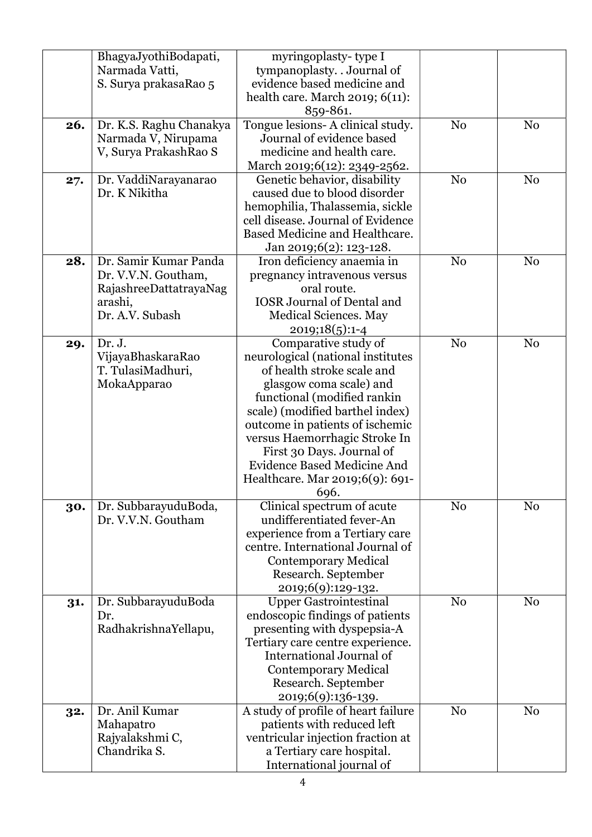|     | BhagyaJyothiBodapati,<br>Narmada Vatti,<br>S. Surya prakasaRao 5                                     | myringoplasty-type I<br>tympanoplasty. . Journal of<br>evidence based medicine and<br>health care. March 2019; 6(11):<br>859-861.                                                                                                                                                                                                                                      |                |                |
|-----|------------------------------------------------------------------------------------------------------|------------------------------------------------------------------------------------------------------------------------------------------------------------------------------------------------------------------------------------------------------------------------------------------------------------------------------------------------------------------------|----------------|----------------|
| 26. | Dr. K.S. Raghu Chanakya<br>Narmada V, Nirupama<br>V, Surya PrakashRao S                              | Tongue lesions- A clinical study.<br>Journal of evidence based<br>medicine and health care.<br>March 2019;6(12): 2349-2562.                                                                                                                                                                                                                                            | N <sub>0</sub> | N <sub>0</sub> |
| 27. | Dr. VaddiNarayanarao<br>Dr. K Nikitha                                                                | Genetic behavior, disability<br>caused due to blood disorder<br>hemophilia, Thalassemia, sickle<br>cell disease. Journal of Evidence<br>Based Medicine and Healthcare.<br>Jan 2019;6(2): 123-128.                                                                                                                                                                      | N <sub>0</sub> | N <sub>o</sub> |
| 28. | Dr. Samir Kumar Panda<br>Dr. V.V.N. Goutham,<br>RajashreeDattatrayaNag<br>arashi,<br>Dr. A.V. Subash | Iron deficiency anaemia in<br>pregnancy intravenous versus<br>oral route.<br><b>IOSR Journal of Dental and</b><br>Medical Sciences. May<br>2019;18(5):1-4                                                                                                                                                                                                              | N <sub>0</sub> | N <sub>o</sub> |
| 29. | Dr. J.<br>VijayaBhaskaraRao<br>T. TulasiMadhuri,<br>MokaApparao                                      | Comparative study of<br>neurological (national institutes<br>of health stroke scale and<br>glasgow coma scale) and<br>functional (modified rankin<br>scale) (modified barthel index)<br>outcome in patients of ischemic<br>versus Haemorrhagic Stroke In<br>First 30 Days. Journal of<br><b>Evidence Based Medicine And</b><br>Healthcare. Mar 2019;6(9): 691-<br>696. | N <sub>o</sub> | N <sub>o</sub> |
| 30. | Dr. SubbarayuduBoda,<br>Dr. V.V.N. Goutham                                                           | Clinical spectrum of acute<br>undifferentiated fever-An<br>experience from a Tertiary care<br>centre. International Journal of<br><b>Contemporary Medical</b><br>Research. September<br>2019;6(9):129-132.                                                                                                                                                             | N <sub>0</sub> | N <sub>0</sub> |
| 31. | Dr. SubbarayuduBoda<br>Dr.<br>RadhakrishnaYellapu,                                                   | <b>Upper Gastrointestinal</b><br>endoscopic findings of patients<br>presenting with dyspepsia-A<br>Tertiary care centre experience.<br>International Journal of<br><b>Contemporary Medical</b><br>Research. September<br>2019;6(9):136-139.                                                                                                                            | N <sub>0</sub> | N <sub>0</sub> |
| 32. | Dr. Anil Kumar<br>Mahapatro<br>Rajyalakshmi C,<br>Chandrika S.                                       | A study of profile of heart failure<br>patients with reduced left<br>ventricular injection fraction at<br>a Tertiary care hospital.<br>International journal of                                                                                                                                                                                                        | N <sub>0</sub> | N <sub>0</sub> |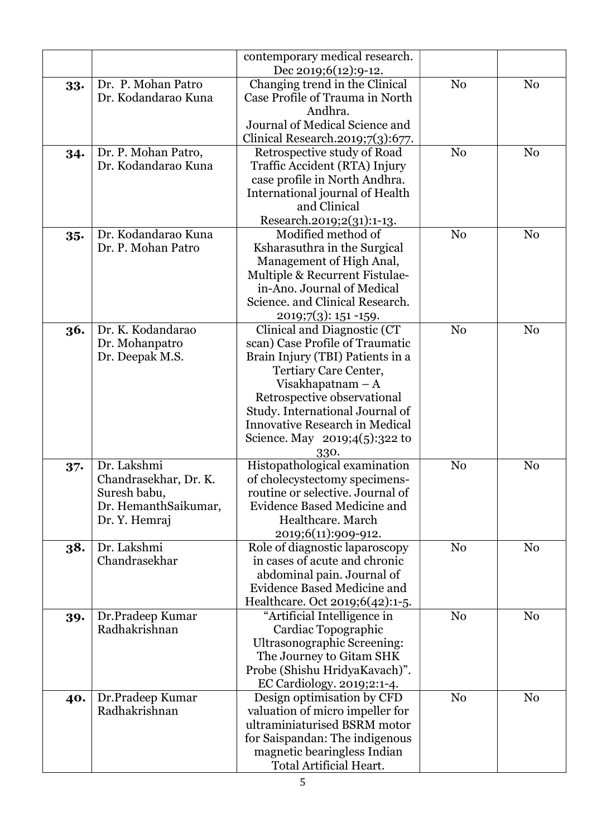|        |                       | contemporary medical research.        |                |                |
|--------|-----------------------|---------------------------------------|----------------|----------------|
|        |                       | Dec 2019;6 $(12):9-12$ .              |                |                |
| 33.    | Dr. P. Mohan Patro    | Changing trend in the Clinical        | N <sub>o</sub> | N <sub>0</sub> |
|        | Dr. Kodandarao Kuna   | Case Profile of Trauma in North       |                |                |
|        |                       | Andhra.                               |                |                |
|        |                       | Journal of Medical Science and        |                |                |
|        |                       | Clinical Research.2019;7(3):677.      |                |                |
| 34.    | Dr. P. Mohan Patro,   | Retrospective study of Road           | N <sub>0</sub> | N <sub>0</sub> |
|        | Dr. Kodandarao Kuna   | Traffic Accident (RTA) Injury         |                |                |
|        |                       | case profile in North Andhra.         |                |                |
|        |                       | International journal of Health       |                |                |
|        |                       | and Clinical                          |                |                |
|        |                       | Research.2019;2(31):1-13.             |                |                |
| 35.    | Dr. Kodandarao Kuna   | Modified method of                    | N <sub>0</sub> | N <sub>0</sub> |
|        | Dr. P. Mohan Patro    | Ksharasuthra in the Surgical          |                |                |
|        |                       | Management of High Anal,              |                |                |
|        |                       | Multiple & Recurrent Fistulae-        |                |                |
|        |                       | in-Ano. Journal of Medical            |                |                |
|        |                       | Science. and Clinical Research.       |                |                |
|        |                       | $2019;7(3):151-159.$                  |                |                |
| 36.    | Dr. K. Kodandarao     | Clinical and Diagnostic (CT           | N <sub>0</sub> | N <sub>0</sub> |
|        | Dr. Mohanpatro        | scan) Case Profile of Traumatic       |                |                |
|        | Dr. Deepak M.S.       | Brain Injury (TBI) Patients in a      |                |                |
|        |                       | Tertiary Care Center,                 |                |                |
|        |                       | Visakhapatnam $-A$                    |                |                |
|        |                       | Retrospective observational           |                |                |
|        |                       | Study. International Journal of       |                |                |
|        |                       | <b>Innovative Research in Medical</b> |                |                |
|        |                       | Science. May 2019;4(5):322 to         |                |                |
|        |                       | 330.                                  |                |                |
| $37 -$ | Dr. Lakshmi           | Histopathological examination         | N <sub>o</sub> | N <sub>0</sub> |
|        | Chandrasekhar, Dr. K. | of cholecystectomy specimens-         |                |                |
|        | Suresh babu,          | routine or selective. Journal of      |                |                |
|        | Dr. HemanthSaikumar,  | <b>Evidence Based Medicine and</b>    |                |                |
|        | Dr. Y. Hemraj         | Healthcare. March                     |                |                |
|        |                       | 2019;6(11):909-912.                   |                |                |
| 38.    | Dr. Lakshmi           | Role of diagnostic laparoscopy        | N <sub>o</sub> | N <sub>0</sub> |
|        | Chandrasekhar         | in cases of acute and chronic         |                |                |
|        |                       | abdominal pain. Journal of            |                |                |
|        |                       | Evidence Based Medicine and           |                |                |
|        |                       | Healthcare. Oct 2019;6(42):1-5.       |                |                |
| 39.    | Dr.Pradeep Kumar      | "Artificial Intelligence in           | N <sub>0</sub> | N <sub>0</sub> |
|        | Radhakrishnan         | Cardiac Topographic                   |                |                |
|        |                       | <b>Ultrasonographic Screening:</b>    |                |                |
|        |                       | The Journey to Gitam SHK              |                |                |
|        |                       | Probe (Shishu HridyaKavach)".         |                |                |
|        |                       | EC Cardiology. 2019;2:1-4.            |                |                |
| 40.    | Dr.Pradeep Kumar      | Design optimisation by CFD            | N <sub>o</sub> | N <sub>o</sub> |
|        | Radhakrishnan         | valuation of micro impeller for       |                |                |
|        |                       | ultraminiaturised BSRM motor          |                |                |
|        |                       | for Saispandan: The indigenous        |                |                |
|        |                       | magnetic bearingless Indian           |                |                |
|        |                       | Total Artificial Heart.               |                |                |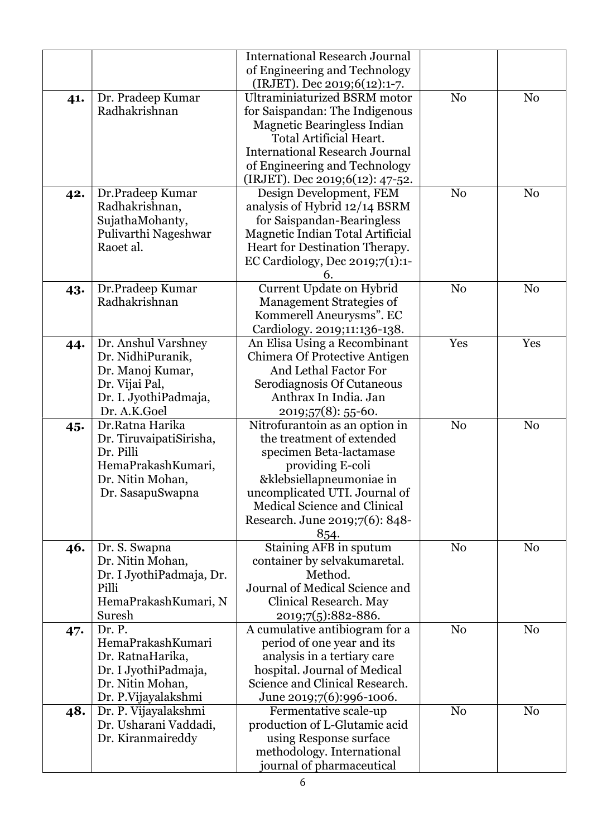| <b>International Research Journal</b>                                             |                |
|-----------------------------------------------------------------------------------|----------------|
| of Engineering and Technology                                                     |                |
| (IRJET). Dec 2019;6(12):1-7.                                                      |                |
| <b>Ultraminiaturized BSRM motor</b><br>N <sub>o</sub><br>Dr. Pradeep Kumar<br>41. | N <sub>o</sub> |
| for Saispandan: The Indigenous<br>Radhakrishnan                                   |                |
| <b>Magnetic Bearingless Indian</b>                                                |                |
| Total Artificial Heart.                                                           |                |
| <b>International Research Journal</b>                                             |                |
| of Engineering and Technology                                                     |                |
| (IRJET). Dec 2019;6(12): 47-52.                                                   |                |
| Design Development, FEM<br>N <sub>o</sub><br>Dr.Pradeep Kumar<br>42.              | N <sub>o</sub> |
| Radhakrishnan,<br>analysis of Hybrid 12/14 BSRM                                   |                |
| SujathaMohanty,<br>for Saispandan-Bearingless                                     |                |
| Pulivarthi Nageshwar<br>Magnetic Indian Total Artificial                          |                |
| Heart for Destination Therapy.<br>Raoet al.                                       |                |
| EC Cardiology, Dec $2019;7(1):1$                                                  |                |
| 6.                                                                                |                |
| Current Update on Hybrid<br>Dr.Pradeep Kumar<br>N <sub>o</sub><br>43.             | N <sub>o</sub> |
| Radhakrishnan<br>Management Strategies of                                         |                |
| Kommerell Aneurysms". EC                                                          |                |
| Cardiology. 2019;11:136-138.                                                      |                |
| Dr. Anshul Varshney<br>An Elisa Using a Recombinant<br>Yes<br>44.                 | Yes            |
| Dr. NidhiPuranik,<br>Chimera Of Protective Antigen                                |                |
| And Lethal Factor For<br>Dr. Manoj Kumar,                                         |                |
| Dr. Vijai Pal,<br>Serodiagnosis Of Cutaneous                                      |                |
| Dr. I. JyothiPadmaja,<br>Anthrax In India. Jan                                    |                |
| Dr. A.K.Goel<br>2019;57(8): 55-60.                                                |                |
| Dr.Ratna Harika<br>Nitrofurantoin as an option in<br>N <sub>0</sub><br>45.        | N <sub>0</sub> |
| the treatment of extended<br>Dr. TiruvaipatiSirisha,                              |                |
| Dr. Pilli<br>specimen Beta-lactamase                                              |                |
| HemaPrakashKumari,<br>providing E-coli                                            |                |
| Dr. Nitin Mohan,<br>&klebsiellapneumoniae in                                      |                |
| uncomplicated UTI. Journal of<br>Dr. SasapuSwapna                                 |                |
| <b>Medical Science and Clinical</b>                                               |                |
| Research. June 2019;7(6): 848-                                                    |                |
| 854.                                                                              |                |
| Staining AFB in sputum<br>N <sub>o</sub><br>Dr. S. Swapna<br>46.                  | N <sub>0</sub> |
| Dr. Nitin Mohan,<br>container by selvakumaretal.<br>Method.                       |                |
| Dr. I JyothiPadmaja, Dr.<br>Journal of Medical Science and<br>Pilli               |                |
| HemaPrakashKumari, N<br>Clinical Research. May                                    |                |
| Suresh<br>2019;7(5):882-886.                                                      |                |
| Dr. P.<br>A cumulative antibiogram for a<br>N <sub>o</sub>                        | N <sub>0</sub> |
| 47.<br>HemaPrakashKumari<br>period of one year and its                            |                |
| analysis in a tertiary care<br>Dr. RatnaHarika,                                   |                |
| Dr. I JyothiPadmaja,<br>hospital. Journal of Medical                              |                |
| Science and Clinical Research.<br>Dr. Nitin Mohan,                                |                |
| Dr. P. Vijayalakshmi<br>June 2019;7(6):996-1006.                                  |                |
| N <sub>0</sub><br>Dr. P. Vijayalakshmi<br>Fermentative scale-up<br>48.            | N <sub>0</sub> |
| Dr. Usharani Vaddadi,<br>production of L-Glutamic acid                            |                |
| Dr. Kiranmaireddy<br>using Response surface                                       |                |
|                                                                                   |                |
| methodology. International                                                        |                |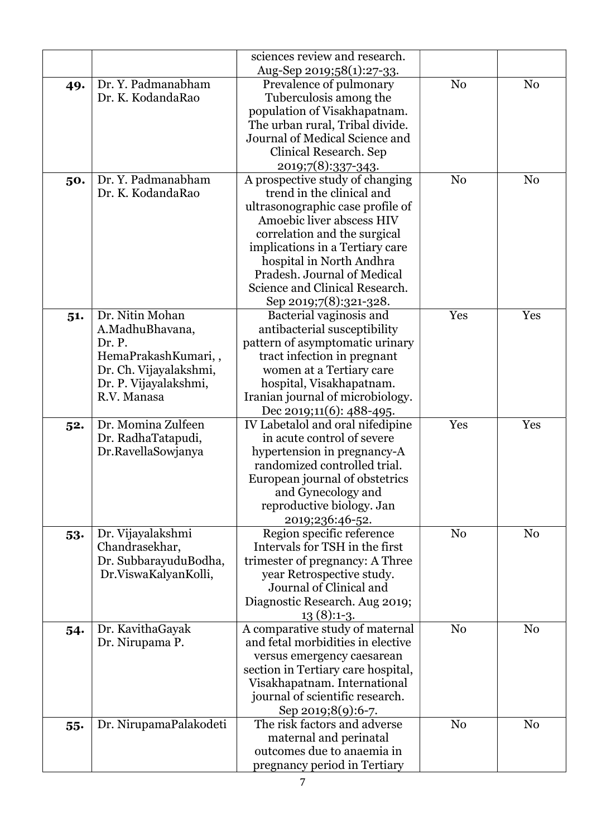|     |                        | sciences review and research.                |                |                |
|-----|------------------------|----------------------------------------------|----------------|----------------|
|     |                        | Aug-Sep 2019;58(1):27-33.                    |                |                |
| 49. | Dr. Y. Padmanabham     | Prevalence of pulmonary                      | N <sub>o</sub> | N <sub>0</sub> |
|     | Dr. K. KodandaRao      | Tuberculosis among the                       |                |                |
|     |                        | population of Visakhapatnam.                 |                |                |
|     |                        | The urban rural, Tribal divide.              |                |                |
|     |                        | Journal of Medical Science and               |                |                |
|     |                        | Clinical Research. Sep                       |                |                |
|     |                        | 2019;7(8):337-343.                           |                |                |
| 50. | Dr. Y. Padmanabham     | A prospective study of changing              | N <sub>o</sub> | N <sub>0</sub> |
|     | Dr. K. KodandaRao      | trend in the clinical and                    |                |                |
|     |                        | ultrasonographic case profile of             |                |                |
|     |                        | Amoebic liver abscess HIV                    |                |                |
|     |                        | correlation and the surgical                 |                |                |
|     |                        | implications in a Tertiary care              |                |                |
|     |                        | hospital in North Andhra                     |                |                |
|     |                        | Pradesh. Journal of Medical                  |                |                |
|     |                        | Science and Clinical Research.               |                |                |
|     |                        | Sep 2019;7(8):321-328.                       |                |                |
| 51. | Dr. Nitin Mohan        | Bacterial vaginosis and                      | Yes            | Yes            |
|     | A.MadhuBhavana,        | antibacterial susceptibility                 |                |                |
|     | Dr. P.                 | pattern of asymptomatic urinary              |                |                |
|     | HemaPrakashKumari,,    | tract infection in pregnant                  |                |                |
|     | Dr. Ch. Vijayalakshmi, | women at a Tertiary care                     |                |                |
|     | Dr. P. Vijayalakshmi,  | hospital, Visakhapatnam.                     |                |                |
|     | R.V. Manasa            | Iranian journal of microbiology.             |                |                |
|     |                        | Dec 2019;11(6): 488-495.                     |                |                |
| 52. | Dr. Momina Zulfeen     | IV Labetalol and oral nifedipine             | Yes            | Yes            |
|     | Dr. RadhaTatapudi,     | in acute control of severe                   |                |                |
|     | Dr.RavellaSowjanya     | hypertension in pregnancy-A                  |                |                |
|     |                        | randomized controlled trial.                 |                |                |
|     |                        | European journal of obstetrics               |                |                |
|     |                        | and Gynecology and                           |                |                |
|     |                        | reproductive biology. Jan<br>2019;236:46-52. |                |                |
|     | Dr. Vijayalakshmi      | Region specific reference                    | N <sub>o</sub> | N <sub>0</sub> |
| 53. | Chandrasekhar,         | Intervals for TSH in the first               |                |                |
|     | Dr. SubbarayuduBodha,  | trimester of pregnancy: A Three              |                |                |
|     | Dr.ViswaKalyanKolli,   | year Retrospective study.                    |                |                |
|     |                        | Journal of Clinical and                      |                |                |
|     |                        | Diagnostic Research. Aug 2019;               |                |                |
|     |                        | $13(8):1-3.$                                 |                |                |
| 54. | Dr. KavithaGayak       | A comparative study of maternal              | N <sub>0</sub> | N <sub>0</sub> |
|     | Dr. Nirupama P.        | and fetal morbidities in elective            |                |                |
|     |                        | versus emergency caesarean                   |                |                |
|     |                        | section in Tertiary care hospital,           |                |                |
|     |                        | Visakhapatnam. International                 |                |                |
|     |                        | journal of scientific research.              |                |                |
|     |                        | Sep 2019;8(9):6-7.                           |                |                |
| 55. | Dr. NirupamaPalakodeti | The risk factors and adverse                 | N <sub>0</sub> | N <sub>0</sub> |
|     |                        | maternal and perinatal                       |                |                |
|     |                        | outcomes due to anaemia in                   |                |                |
|     |                        | pregnancy period in Tertiary                 |                |                |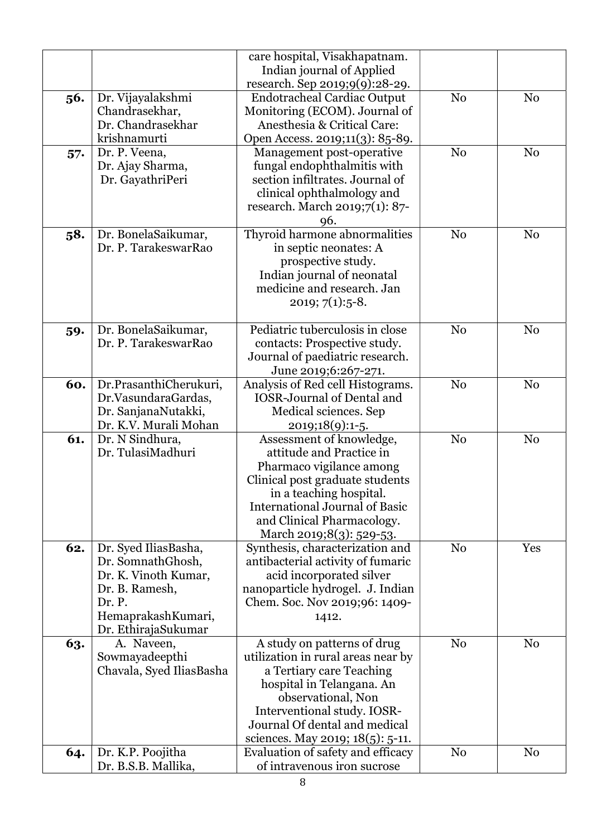|     |                          | care hospital, Visakhapatnam.                            |                |                |
|-----|--------------------------|----------------------------------------------------------|----------------|----------------|
|     |                          | Indian journal of Applied                                |                |                |
|     |                          | research. Sep 2019;9(9):28-29.                           |                |                |
| 56. | Dr. Vijayalakshmi        | <b>Endotracheal Cardiac Output</b>                       | N <sub>o</sub> | N <sub>o</sub> |
|     | Chandrasekhar,           | Monitoring (ECOM). Journal of                            |                |                |
|     | Dr. Chandrasekhar        | Anesthesia & Critical Care:                              |                |                |
|     | krishnamurti             | Open Access. 2019;11(3): 85-89.                          |                |                |
| 57. | Dr. P. Veena,            | Management post-operative                                | N <sub>0</sub> | N <sub>0</sub> |
|     | Dr. Ajay Sharma,         | fungal endophthalmitis with                              |                |                |
|     | Dr. GayathriPeri         | section infiltrates. Journal of                          |                |                |
|     |                          | clinical ophthalmology and                               |                |                |
|     |                          | research. March 2019;7(1): 87-                           |                |                |
|     |                          | 96.                                                      |                |                |
|     | Dr. BonelaSaikumar,      | Thyroid harmone abnormalities                            | N <sub>0</sub> | N <sub>0</sub> |
| 58. | Dr. P. TarakeswarRao     | in septic neonates: A                                    |                |                |
|     |                          |                                                          |                |                |
|     |                          | prospective study.                                       |                |                |
|     |                          | Indian journal of neonatal<br>medicine and research. Jan |                |                |
|     |                          |                                                          |                |                |
|     |                          | $2019; 7(1):5-8.$                                        |                |                |
|     |                          | Pediatric tuberculosis in close                          |                |                |
| 59. | Dr. BonelaSaikumar,      |                                                          | N <sub>0</sub> | N <sub>0</sub> |
|     | Dr. P. TarakeswarRao     | contacts: Prospective study.                             |                |                |
|     |                          | Journal of paediatric research.                          |                |                |
|     |                          | June 2019;6:267-271.                                     |                |                |
| 60. | Dr.PrasanthiCherukuri,   | Analysis of Red cell Histograms.                         | N <sub>o</sub> | N <sub>o</sub> |
|     | Dr.VasundaraGardas,      | <b>IOSR-Journal of Dental and</b>                        |                |                |
|     | Dr. SanjanaNutakki,      | Medical sciences. Sep                                    |                |                |
|     | Dr. K.V. Murali Mohan    | 2019;18(9):1-5.                                          |                |                |
| 61. | Dr. N Sindhura,          | Assessment of knowledge,                                 | N <sub>o</sub> | N <sub>o</sub> |
|     | Dr. TulasiMadhuri        | attitude and Practice in                                 |                |                |
|     |                          | Pharmaco vigilance among                                 |                |                |
|     |                          | Clinical post graduate students                          |                |                |
|     |                          | in a teaching hospital.                                  |                |                |
|     |                          | <b>International Journal of Basic</b>                    |                |                |
|     |                          | and Clinical Pharmacology.                               |                |                |
|     |                          | March 2019;8(3): 529-53.                                 |                |                |
| 62. | Dr. Syed IliasBasha,     | Synthesis, characterization and                          | N <sub>0</sub> | Yes            |
|     | Dr. SomnathGhosh,        | antibacterial activity of fumaric                        |                |                |
|     | Dr. K. Vinoth Kumar,     | acid incorporated silver                                 |                |                |
|     | Dr. B. Ramesh,           | nanoparticle hydrogel. J. Indian                         |                |                |
|     | Dr. P.                   | Chem. Soc. Nov 2019;96: 1409-                            |                |                |
|     | HemaprakashKumari,       | 1412.                                                    |                |                |
|     | Dr. EthirajaSukumar      |                                                          |                |                |
| 63. | A. Naveen,               | A study on patterns of drug                              | N <sub>0</sub> | N <sub>0</sub> |
|     | Sowmayadeepthi           | utilization in rural areas near by                       |                |                |
|     | Chavala, Syed IliasBasha | a Tertiary care Teaching                                 |                |                |
|     |                          | hospital in Telangana. An                                |                |                |
|     |                          | observational, Non                                       |                |                |
|     |                          | Interventional study. IOSR-                              |                |                |
|     |                          | Journal Of dental and medical                            |                |                |
|     |                          | sciences. May 2019; 18(5): 5-11.                         |                |                |
| 64. | Dr. K.P. Poojitha        | Evaluation of safety and efficacy                        | N <sub>0</sub> | N <sub>0</sub> |
|     | Dr. B.S.B. Mallika,      | of intravenous iron sucrose                              |                |                |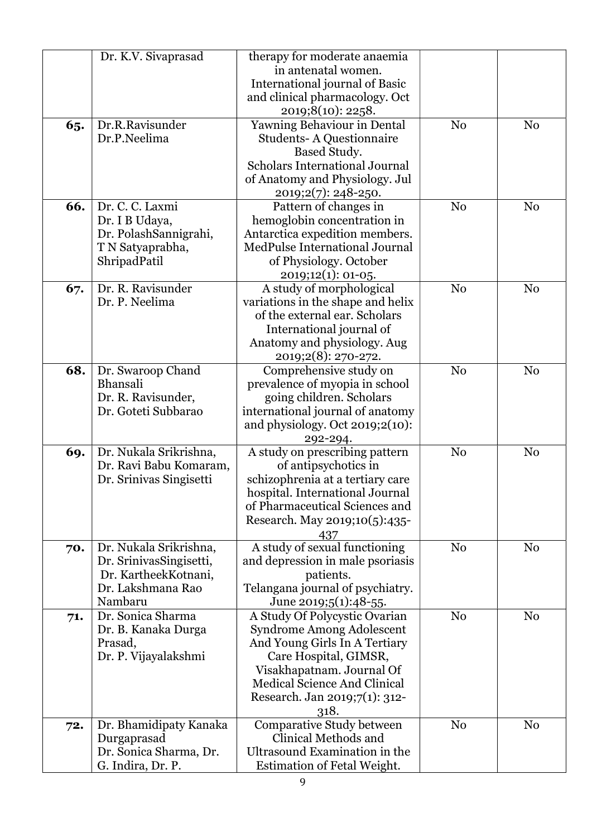|     | Dr. K.V. Sivaprasad           | therapy for moderate anaemia                  |                |                |
|-----|-------------------------------|-----------------------------------------------|----------------|----------------|
|     |                               | in antenatal women.                           |                |                |
|     |                               | International journal of Basic                |                |                |
|     |                               | and clinical pharmacology. Oct                |                |                |
|     |                               |                                               |                |                |
|     |                               | 2019;8(10): 2258.                             |                |                |
| 65. | Dr.R.Ravisunder               | Yawning Behaviour in Dental                   | N <sub>0</sub> | N <sub>0</sub> |
|     | Dr.P.Neelima                  | <b>Students-A Questionnaire</b>               |                |                |
|     |                               | Based Study.                                  |                |                |
|     |                               | <b>Scholars International Journal</b>         |                |                |
|     |                               | of Anatomy and Physiology. Jul                |                |                |
|     |                               | 2019;2(7): 248-250.                           |                |                |
| 66. | Dr. C. C. Laxmi               | Pattern of changes in                         | N <sub>0</sub> | N <sub>0</sub> |
|     | Dr. I B Udaya,                | hemoglobin concentration in                   |                |                |
|     | Dr. PolashSannigrahi,         | Antarctica expedition members.                |                |                |
|     | T N Satyaprabha,              | MedPulse International Journal                |                |                |
|     | ShripadPatil                  | of Physiology. October                        |                |                |
|     |                               | 2019;12(1): 01-05.                            |                |                |
| 67. | Dr. R. Ravisunder             | A study of morphological                      | N <sub>0</sub> | N <sub>o</sub> |
|     | Dr. P. Neelima                | variations in the shape and helix             |                |                |
|     |                               | of the external ear. Scholars                 |                |                |
|     |                               | International journal of                      |                |                |
|     |                               | Anatomy and physiology. Aug                   |                |                |
|     |                               |                                               |                |                |
| 68. |                               | 2019;2(8): 270-272.<br>Comprehensive study on | N <sub>o</sub> | N <sub>0</sub> |
|     | Dr. Swaroop Chand<br>Bhansali |                                               |                |                |
|     |                               | prevalence of myopia in school                |                |                |
|     | Dr. R. Ravisunder,            | going children. Scholars                      |                |                |
|     | Dr. Goteti Subbarao           | international journal of anatomy              |                |                |
|     |                               | and physiology. Oct $2019;2(10)$ :            |                |                |
|     |                               | 292-294.                                      |                |                |
| 69. | Dr. Nukala Srikrishna,        | A study on prescribing pattern                | N <sub>0</sub> | N <sub>o</sub> |
|     | Dr. Ravi Babu Komaram,        | of antipsychotics in                          |                |                |
|     | Dr. Srinivas Singisetti       | schizophrenia at a tertiary care              |                |                |
|     |                               | hospital. International Journal               |                |                |
|     |                               | of Pharmaceutical Sciences and                |                |                |
|     |                               | Research. May 2019;10(5):435-                 |                |                |
|     |                               | 437                                           |                |                |
| 70. | Dr. Nukala Srikrishna,        | A study of sexual functioning                 | N <sub>o</sub> | N <sub>0</sub> |
|     | Dr. SrinivasSingisetti,       | and depression in male psoriasis              |                |                |
|     | Dr. KartheekKotnani,          | patients.                                     |                |                |
|     | Dr. Lakshmana Rao             | Telangana journal of psychiatry.              |                |                |
|     | Nambaru                       | June 2019;5(1):48-55.                         |                |                |
| 71. | Dr. Sonica Sharma             | A Study Of Polycystic Ovarian                 | N <sub>0</sub> | N <sub>0</sub> |
|     | Dr. B. Kanaka Durga           | Syndrome Among Adolescent                     |                |                |
|     | Prasad,                       | And Young Girls In A Tertiary                 |                |                |
|     | Dr. P. Vijayalakshmi          | Care Hospital, GIMSR,                         |                |                |
|     |                               | Visakhapatnam. Journal Of                     |                |                |
|     |                               | <b>Medical Science And Clinical</b>           |                |                |
|     |                               | Research. Jan 2019;7(1): 312-                 |                |                |
|     |                               | 318.                                          |                |                |
| 72. | Dr. Bhamidipaty Kanaka        | Comparative Study between                     | N <sub>o</sub> | N <sub>0</sub> |
|     | Durgaprasad                   | Clinical Methods and                          |                |                |
|     | Dr. Sonica Sharma, Dr.        | Ultrasound Examination in the                 |                |                |
|     | G. Indira, Dr. P.             | <b>Estimation of Fetal Weight.</b>            |                |                |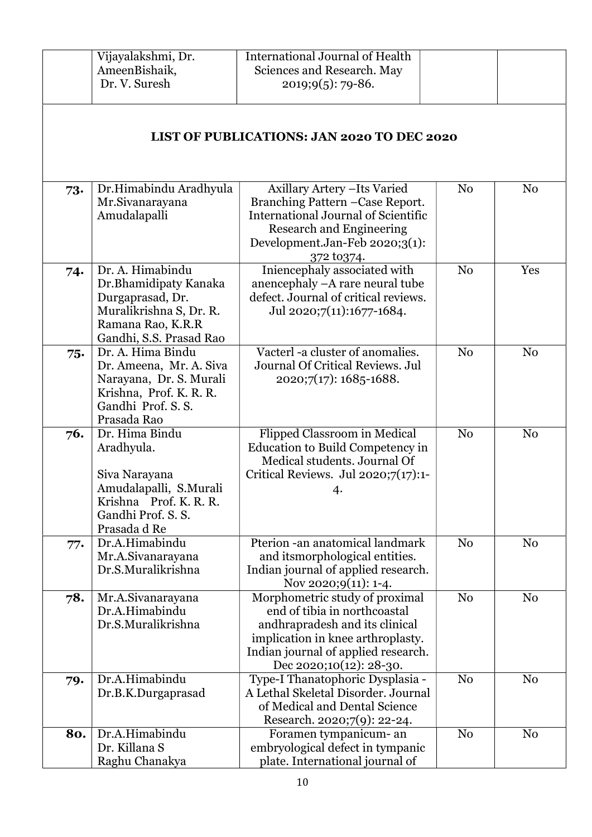|     | Vijayalakshmi, Dr.                                                                                                                       | <b>International Journal of Health</b>                                                                                                                                                                  |                |                |
|-----|------------------------------------------------------------------------------------------------------------------------------------------|---------------------------------------------------------------------------------------------------------------------------------------------------------------------------------------------------------|----------------|----------------|
|     | AmeenBishaik,<br>Dr. V. Suresh                                                                                                           | Sciences and Research. May<br>$2019;9(5):79-86.$                                                                                                                                                        |                |                |
|     |                                                                                                                                          | <b>LIST OF PUBLICATIONS: JAN 2020 TO DEC 2020</b>                                                                                                                                                       |                |                |
| 73. | Dr.Himabindu Aradhyula<br>Mr.Sivanarayana<br>Amudalapalli                                                                                | Axillary Artery - Its Varied<br>Branching Pattern - Case Report.<br>International Journal of Scientific<br><b>Research and Engineering</b><br>Development.Jan-Feb 2020;3(1):<br>372 to 374.             | N <sub>0</sub> | N <sub>0</sub> |
| 74. | Dr. A. Himabindu<br>Dr.Bhamidipaty Kanaka<br>Durgaprasad, Dr.<br>Muralikrishna S, Dr. R.<br>Ramana Rao, K.R.R<br>Gandhi, S.S. Prasad Rao | Iniencephaly associated with<br>anencephaly -A rare neural tube<br>defect. Journal of critical reviews.<br>Jul 2020;7(11):1677-1684.                                                                    | N <sub>0</sub> | Yes            |
| 75. | Dr. A. Hima Bindu<br>Dr. Ameena, Mr. A. Siva<br>Narayana, Dr. S. Murali<br>Krishna, Prof. K. R. R.<br>Gandhi Prof. S. S.<br>Prasada Rao  | Vacterl -a cluster of anomalies.<br>Journal Of Critical Reviews. Jul<br>$2020;7(17):1685-1688.$                                                                                                         | N <sub>0</sub> | N <sub>0</sub> |
| 76. | Dr. Hima Bindu<br>Aradhyula.<br>Siva Narayana<br>Amudalapalli, S.Murali<br>Krishna Prof. K. R. R.<br>Gandhi Prof. S. S.<br>Prasada d Re  | Flipped Classroom in Medical<br>Education to Build Competency in<br>Medical students. Journal Of<br>Critical Reviews. Jul 2020;7(17):1-<br>4.                                                           | N <sub>o</sub> | N <sub>0</sub> |
| 77. | Dr.A.Himabindu<br>Mr.A.Sivanarayana<br>Dr.S.Muralikrishna                                                                                | Pterion -an anatomical landmark<br>and its morphological entities.<br>Indian journal of applied research.<br>Nov 2020;9(11): 1-4.                                                                       | N <sub>0</sub> | N <sub>0</sub> |
| 78. | Mr.A.Sivanarayana<br>Dr.A.Himabindu<br>Dr.S.Muralikrishna                                                                                | Morphometric study of proximal<br>end of tibia in northcoastal<br>andhrapradesh and its clinical<br>implication in knee arthroplasty.<br>Indian journal of applied research.<br>Dec 2020;10(12): 28-30. | N <sub>0</sub> | N <sub>0</sub> |
| 79. | Dr.A.Himabindu<br>Dr.B.K.Durgaprasad                                                                                                     | Type-I Thanatophoric Dysplasia -<br>A Lethal Skeletal Disorder. Journal<br>of Medical and Dental Science<br>Research. 2020;7(9): 22-24.                                                                 | N <sub>0</sub> | N <sub>0</sub> |
| 80. | Dr.A.Himabindu<br>Dr. Killana S<br>Raghu Chanakya                                                                                        | Foramen tympanicum- an<br>embryological defect in tympanic<br>plate. International journal of                                                                                                           | N <sub>0</sub> | N <sub>0</sub> |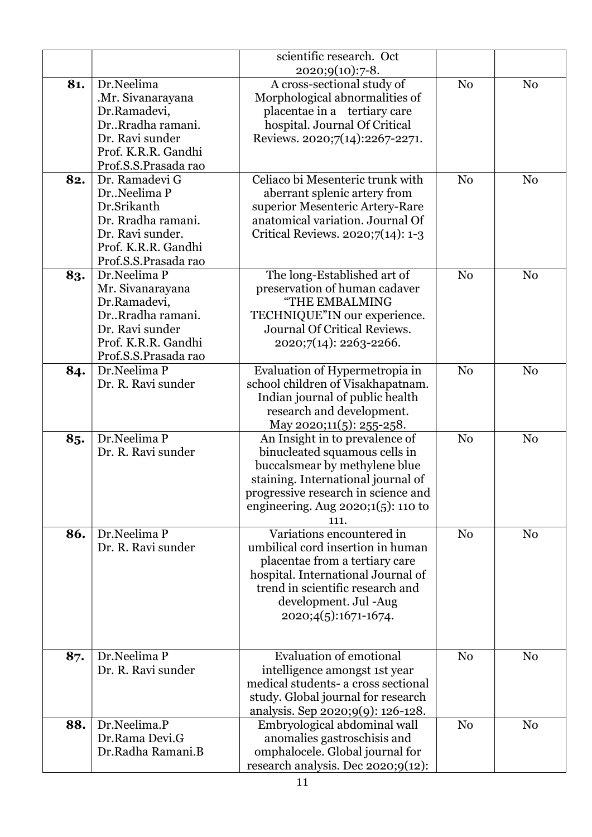|     |                                                                                                                                           | scientific research. Oct<br>$2020;9(10):7-8.$                                                                                                                                                                                  |                |                |
|-----|-------------------------------------------------------------------------------------------------------------------------------------------|--------------------------------------------------------------------------------------------------------------------------------------------------------------------------------------------------------------------------------|----------------|----------------|
| 81. | Dr.Neelima<br>.Mr. Sivanarayana<br>Dr.Ramadevi,<br>Dr., Rradha ramani.<br>Dr. Ravi sunder<br>Prof. K.R.R. Gandhi<br>Prof.S.S.Prasada rao  | A cross-sectional study of<br>Morphological abnormalities of<br>placentae in a tertiary care<br>hospital. Journal Of Critical<br>Reviews. 2020;7(14):2267-2271.                                                                | N <sub>0</sub> | N <sub>0</sub> |
| 82. | Dr. Ramadevi G<br>DrNeelima P<br>Dr.Srikanth<br>Dr. Rradha ramani.<br>Dr. Ravi sunder.<br>Prof. K.R.R. Gandhi<br>Prof.S.S.Prasada rao     | Celiaco bi Mesenteric trunk with<br>aberrant splenic artery from<br>superior Mesenteric Artery-Rare<br>anatomical variation. Journal Of<br>Critical Reviews. 2020;7(14): 1-3                                                   | N <sub>0</sub> | N <sub>0</sub> |
| 83. | Dr.Neelima P<br>Mr. Sivanarayana<br>Dr.Ramadevi,<br>Dr., Rradha ramani.<br>Dr. Ravi sunder<br>Prof. K.R.R. Gandhi<br>Prof.S.S.Prasada rao | The long-Established art of<br>preservation of human cadaver<br>"THE EMBALMING<br>TECHNIQUE"IN our experience.<br>Journal Of Critical Reviews.<br>2020;7(14): 2263-2266.                                                       | N <sub>0</sub> | N <sub>0</sub> |
| 84. | Dr.Neelima P<br>Dr. R. Ravi sunder                                                                                                        | Evaluation of Hypermetropia in<br>school children of Visakhapatnam.<br>Indian journal of public health<br>research and development.<br>May 2020;11(5): 255-258.                                                                | N <sub>0</sub> | N <sub>0</sub> |
| 85. | Dr.Neelima P<br>Dr. R. Ravi sunder                                                                                                        | An Insight in to prevalence of<br>binucleated squamous cells in<br>buccalsmear by methylene blue<br>staining. International journal of<br>progressive research in science and<br>engineering. Aug $2020;1(5)$ : 110 to<br>111. | N <sub>o</sub> | N <sub>o</sub> |
| 86. | Dr.Neelima P<br>Dr. R. Ravi sunder                                                                                                        | Variations encountered in<br>umbilical cord insertion in human<br>placentae from a tertiary care<br>hospital. International Journal of<br>trend in scientific research and<br>development. Jul -Aug<br>$2020;4(5):1671-1674.$  | N <sub>o</sub> | N <sub>0</sub> |
| 87. | Dr.Neelima P<br>Dr. R. Ravi sunder                                                                                                        | <b>Evaluation of emotional</b><br>intelligence amongst 1st year<br>medical students- a cross sectional<br>study. Global journal for research<br>analysis. Sep 2020;9(9): 126-128.                                              | N <sub>0</sub> | N <sub>0</sub> |
| 88. | Dr.Neelima.P<br>Dr.Rama Devi.G<br>Dr.Radha Ramani.B                                                                                       | Embryological abdominal wall<br>anomalies gastroschisis and<br>omphalocele. Global journal for<br>research analysis. Dec 2020;9(12):                                                                                           | N <sub>0</sub> | N <sub>0</sub> |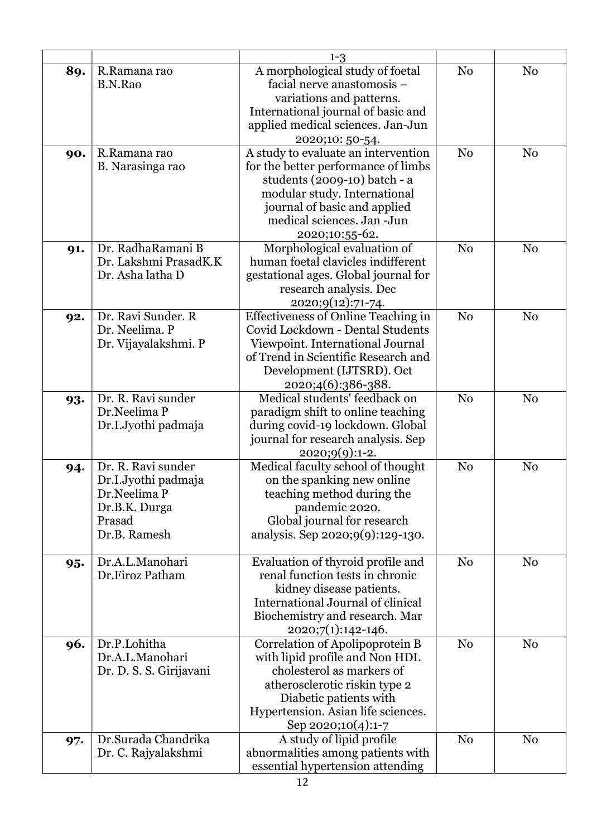|     |                         | $1 - 3$                                                                                             |                |                |
|-----|-------------------------|-----------------------------------------------------------------------------------------------------|----------------|----------------|
| 89. | R.Ramana rao<br>B.N.Rao | A morphological study of foetal<br>facial nerve anastomosis -                                       | N <sub>o</sub> | N <sub>o</sub> |
|     |                         | variations and patterns.<br>International journal of basic and<br>applied medical sciences. Jan-Jun |                |                |
|     |                         | 2020;10: 50-54.                                                                                     |                |                |
| 90. | R.Ramana rao            | A study to evaluate an intervention                                                                 | N <sub>0</sub> | N <sub>0</sub> |
|     | B. Narasinga rao        | for the better performance of limbs                                                                 |                |                |
|     |                         | students (2009-10) batch - a                                                                        |                |                |
|     |                         | modular study. International                                                                        |                |                |
|     |                         | journal of basic and applied<br>medical sciences. Jan -Jun                                          |                |                |
|     |                         | 2020;10:55-62.                                                                                      |                |                |
| 91. | Dr. RadhaRamani B       | Morphological evaluation of                                                                         | N <sub>0</sub> | N <sub>0</sub> |
|     | Dr. Lakshmi PrasadK.K   | human foetal clavicles indifferent                                                                  |                |                |
|     | Dr. Asha latha D        | gestational ages. Global journal for                                                                |                |                |
|     |                         | research analysis. Dec                                                                              |                |                |
|     |                         | <u>2020;9(12):71-74.</u>                                                                            |                |                |
| 92. | Dr. Ravi Sunder. R      | <b>Effectiveness of Online Teaching in</b>                                                          | N <sub>0</sub> | N <sub>0</sub> |
|     | Dr. Neelima. P          | Covid Lockdown - Dental Students                                                                    |                |                |
|     | Dr. Vijayalakshmi. P    | Viewpoint. International Journal<br>of Trend in Scientific Research and                             |                |                |
|     |                         | Development (IJTSRD). Oct                                                                           |                |                |
|     |                         | 2020;4(6):386-388.                                                                                  |                |                |
| 93. | Dr. R. Ravi sunder      | Medical students' feedback on                                                                       | N <sub>o</sub> | N <sub>o</sub> |
|     | Dr.Neelima P            | paradigm shift to online teaching                                                                   |                |                |
|     | Dr.I.Jyothi padmaja     | during covid-19 lockdown. Global                                                                    |                |                |
|     |                         | journal for research analysis. Sep                                                                  |                |                |
|     | Dr. R. Ravi sunder      | 2020;9(9):1-2.<br>Medical faculty school of thought                                                 | N <sub>0</sub> | N <sub>0</sub> |
| 94. | Dr.I.Jyothi padmaja     | on the spanking new online                                                                          |                |                |
|     | Dr.Neelima P            | teaching method during the                                                                          |                |                |
|     | Dr.B.K. Durga           | pandemic 2020.                                                                                      |                |                |
|     | Prasad                  | Global journal for research                                                                         |                |                |
|     | Dr.B. Ramesh            | analysis. Sep 2020;9(9):129-130.                                                                    |                |                |
|     | Dr.A.L.Manohari         | Evaluation of thyroid profile and                                                                   | N <sub>0</sub> | N <sub>0</sub> |
| 95. | Dr.Firoz Patham         | renal function tests in chronic                                                                     |                |                |
|     |                         | kidney disease patients.                                                                            |                |                |
|     |                         | International Journal of clinical                                                                   |                |                |
|     |                         | Biochemistry and research. Mar                                                                      |                |                |
|     |                         | 2020;7(1):142-146.                                                                                  |                |                |
| 96. | Dr.P.Lohitha            | Correlation of Apolipoprotein B                                                                     | N <sub>0</sub> | N <sub>0</sub> |
|     | Dr.A.L.Manohari         | with lipid profile and Non HDL                                                                      |                |                |
|     | Dr. D. S. S. Girijavani | cholesterol as markers of                                                                           |                |                |
|     |                         | atherosclerotic riskin type 2<br>Diabetic patients with                                             |                |                |
|     |                         | Hypertension. Asian life sciences.                                                                  |                |                |
|     |                         | Sep 2020;10(4):1-7                                                                                  |                |                |
| 97. | Dr.Surada Chandrika     | A study of lipid profile                                                                            | N <sub>0</sub> | N <sub>0</sub> |
|     | Dr. C. Rajyalakshmi     | abnormalities among patients with                                                                   |                |                |
|     |                         | essential hypertension attending                                                                    |                |                |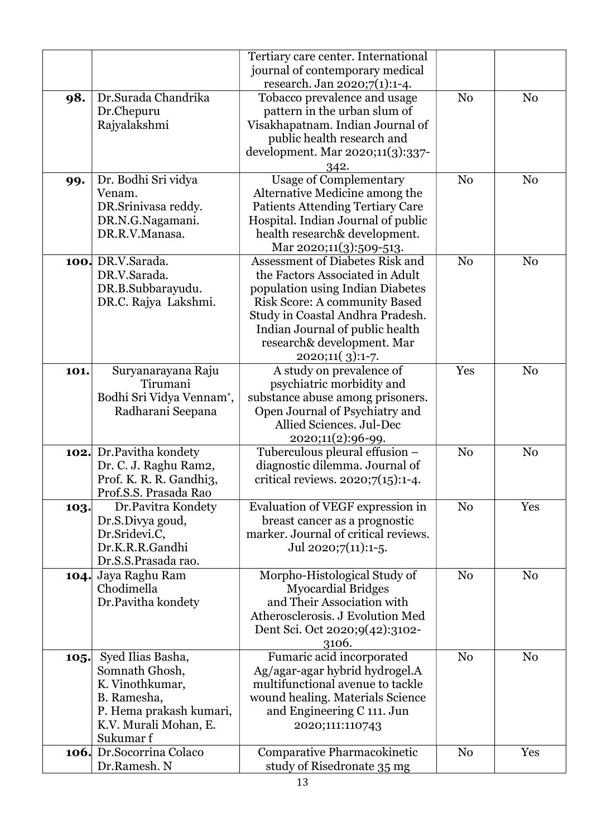|      |                                 | Tertiary care center. International     |                |                |
|------|---------------------------------|-----------------------------------------|----------------|----------------|
|      |                                 | journal of contemporary medical         |                |                |
|      |                                 | research. Jan 2020;7(1):1-4.            |                |                |
| 98.  | Dr.Surada Chandrika             | Tobacco prevalence and usage            | N <sub>o</sub> | N <sub>0</sub> |
|      | Dr.Chepuru                      | pattern in the urban slum of            |                |                |
|      | Rajyalakshmi                    | Visakhapatnam. Indian Journal of        |                |                |
|      |                                 | public health research and              |                |                |
|      |                                 | development. Mar 2020;11(3):337-        |                |                |
|      |                                 |                                         |                |                |
|      |                                 | 342.                                    |                |                |
| 99.  | Dr. Bodhi Sri vidya             | <b>Usage of Complementary</b>           | N <sub>0</sub> | N <sub>o</sub> |
|      | Venam.                          | Alternative Medicine among the          |                |                |
|      | DR.Srinivasa reddy.             | <b>Patients Attending Tertiary Care</b> |                |                |
|      | DR.N.G.Nagamani.                | Hospital. Indian Journal of public      |                |                |
|      | DR.R.V.Manasa.                  | health research& development.           |                |                |
|      |                                 | Mar 2020;11(3):509-513.                 |                |                |
|      | 100. DR.V.Sarada.               | Assessment of Diabetes Risk and         | N <sub>0</sub> | N <sub>o</sub> |
|      | DR.V.Sarada.                    | the Factors Associated in Adult         |                |                |
|      | DR.B.Subbarayudu.               | population using Indian Diabetes        |                |                |
|      | DR.C. Rajya Lakshmi.            | <b>Risk Score: A community Based</b>    |                |                |
|      |                                 | Study in Coastal Andhra Pradesh.        |                |                |
|      |                                 | Indian Journal of public health         |                |                |
|      |                                 | research& development. Mar              |                |                |
|      |                                 | 2020;11(3):1-7.                         |                |                |
| 101. | Suryanarayana Raju              | A study on prevalence of                | Yes            | N <sub>0</sub> |
|      | Tirumani                        | psychiatric morbidity and               |                |                |
|      | Bodhi Sri Vidya Vennam*,        | substance abuse among prisoners.        |                |                |
|      | Radharani Seepana               | Open Journal of Psychiatry and          |                |                |
|      |                                 | Allied Sciences. Jul-Dec                |                |                |
|      |                                 | 2020;11(2):96-99.                       |                |                |
|      | <b>102.</b> Dr. Pavitha kondety | Tuberculous pleural effusion -          | N <sub>0</sub> | N <sub>0</sub> |
|      | Dr. C. J. Raghu Ram2,           | diagnostic dilemma. Journal of          |                |                |
|      | Prof. K. R. R. Gandhi3,         | critical reviews. $2020;7(15):1-4$ .    |                |                |
|      | Prof.S.S. Prasada Rao           |                                         |                |                |
| 103. | Dr.Pavitra Kondety              | Evaluation of VEGF expression in        | N <sub>0</sub> | Yes            |
|      | Dr.S.Divya goud,                | breast cancer as a prognostic           |                |                |
|      | Dr.Sridevi.C,                   | marker. Journal of critical reviews.    |                |                |
|      | Dr.K.R.R.Gandhi                 | Jul 2020;7 $(11):1-5$ .                 |                |                |
|      | Dr.S.S.Prasada rao.             |                                         |                |                |
|      | 104. Jaya Raghu Ram             | Morpho-Histological Study of            | N <sub>o</sub> | N <sub>0</sub> |
|      | Chodimella                      | <b>Myocardial Bridges</b>               |                |                |
|      | Dr.Pavitha kondety              | and Their Association with              |                |                |
|      |                                 | Atherosclerosis. J Evolution Med        |                |                |
|      |                                 | Dent Sci. Oct 2020;9(42):3102-          |                |                |
|      |                                 |                                         |                |                |
|      |                                 | 3106.                                   |                |                |
| 105. | Syed Ilias Basha,               | Fumaric acid incorporated               | N <sub>0</sub> | N <sub>0</sub> |
|      | Somnath Ghosh,                  | Ag/agar-agar hybrid hydrogel.A          |                |                |
|      | K. Vinothkumar,                 | multifunctional avenue to tackle        |                |                |
|      | B. Ramesha,                     | wound healing. Materials Science        |                |                |
|      | P. Hema prakash kumari,         | and Engineering C 111. Jun              |                |                |
|      | K.V. Murali Mohan, E.           | 2020;111:110743                         |                |                |
|      | Sukumar f                       |                                         |                |                |
|      | <b>106.</b> Dr.Socorrina Colaco | Comparative Pharmacokinetic             | N <sub>0</sub> | Yes            |
|      | Dr.Ramesh. N                    | study of Risedronate 35 mg              |                |                |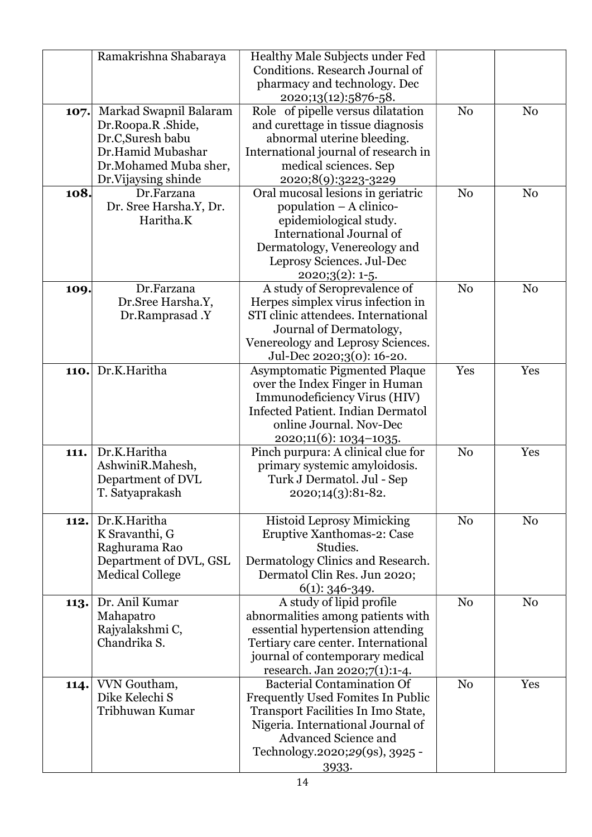|      | Ramakrishna Shabaraya  | Healthy Male Subjects under Fed          |                |                |
|------|------------------------|------------------------------------------|----------------|----------------|
|      |                        | Conditions. Research Journal of          |                |                |
|      |                        | pharmacy and technology. Dec             |                |                |
|      |                        | 2020;13(12):5876-58.                     |                |                |
| 107. | Markad Swapnil Balaram | Role of pipelle versus dilatation        | N <sub>0</sub> | N <sub>0</sub> |
|      | Dr.Roopa.R.Shide,      | and curettage in tissue diagnosis        |                |                |
|      | Dr.C, Suresh babu      | abnormal uterine bleeding.               |                |                |
|      | Dr.Hamid Mubashar      | International journal of research in     |                |                |
|      | Dr.Mohamed Muba sher,  | medical sciences. Sep                    |                |                |
|      | Dr.Vijaysing shinde    | 2020;8(9):3223-3229                      |                |                |
| 108. | Dr.Farzana             | Oral mucosal lesions in geriatric        | N <sub>0</sub> | N <sub>0</sub> |
|      | Dr. Sree Harsha.Y, Dr. | population - A clinico-                  |                |                |
|      | Haritha.K              | epidemiological study.                   |                |                |
|      |                        | International Journal of                 |                |                |
|      |                        |                                          |                |                |
|      |                        | Dermatology, Venereology and             |                |                |
|      |                        | Leprosy Sciences. Jul-Dec                |                |                |
|      |                        | $2020;3(2):1-5.$                         |                |                |
| 109. | Dr.Farzana             | A study of Seroprevalence of             | N <sub>0</sub> | N <sub>0</sub> |
|      | Dr.Sree Harsha.Y,      | Herpes simplex virus infection in        |                |                |
|      | Dr.Ramprasad .Y        | STI clinic attendees. International      |                |                |
|      |                        | Journal of Dermatology,                  |                |                |
|      |                        | Venereology and Leprosy Sciences.        |                |                |
|      |                        | Jul-Dec 2020;3(0): 16-20.                |                |                |
| 110. | Dr.K.Haritha           | <b>Asymptomatic Pigmented Plaque</b>     | Yes            | Yes            |
|      |                        | over the Index Finger in Human           |                |                |
|      |                        | Immunodeficiency Virus (HIV)             |                |                |
|      |                        | <b>Infected Patient. Indian Dermatol</b> |                |                |
|      |                        | online Journal. Nov-Dec                  |                |                |
|      |                        | 2020;11(6): 1034-1035.                   |                |                |
| 111. | Dr.K.Haritha           | Pinch purpura: A clinical clue for       | N <sub>o</sub> | Yes            |
|      | AshwiniR.Mahesh,       | primary systemic amyloidosis.            |                |                |
|      | Department of DVL      | Turk J Dermatol. Jul - Sep               |                |                |
|      | T. Satyaprakash        | 2020;14(3):81-82.                        |                |                |
|      |                        |                                          |                |                |
| 112. | Dr.K.Haritha           | <b>Histoid Leprosy Mimicking</b>         | N <sub>0</sub> | N <sub>0</sub> |
|      | K Sravanthi, G         | Eruptive Xanthomas-2: Case               |                |                |
|      | Raghurama Rao          | Studies.                                 |                |                |
|      | Department of DVL, GSL | Dermatology Clinics and Research.        |                |                |
|      | <b>Medical College</b> | Dermatol Clin Res. Jun 2020;             |                |                |
|      |                        | $6(1)$ : 346-349.                        |                |                |
| 113. | Dr. Anil Kumar         | A study of lipid profile                 | N <sub>o</sub> | N <sub>0</sub> |
|      | Mahapatro              | abnormalities among patients with        |                |                |
|      | Rajyalakshmi C,        | essential hypertension attending         |                |                |
|      | Chandrika S.           | Tertiary care center. International      |                |                |
|      |                        | journal of contemporary medical          |                |                |
|      |                        | research. Jan 2020;7(1):1-4.             |                |                |
| 114. | VVN Goutham,           | <b>Bacterial Contamination Of</b>        | N <sub>0</sub> | Yes            |
|      | Dike Kelechi S         | Frequently Used Fomites In Public        |                |                |
|      | Tribhuwan Kumar        | Transport Facilities In Imo State,       |                |                |
|      |                        | Nigeria. International Journal of        |                |                |
|      |                        | <b>Advanced Science and</b>              |                |                |
|      |                        | Technology.2020;29(9s), 3925 -           |                |                |
|      |                        | 3933.                                    |                |                |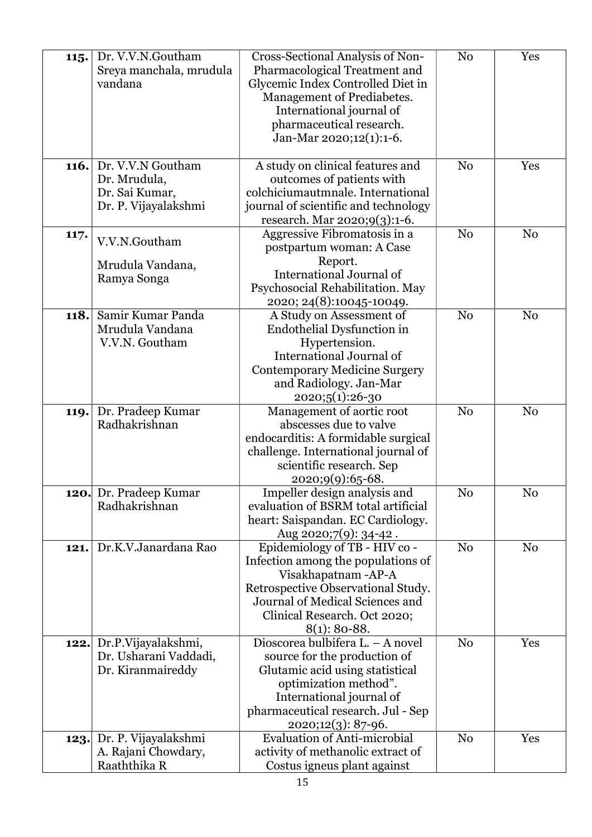| 115. | Dr. V.V.N.Goutham<br>Sreya manchala, mrudula<br>vandana                     | Cross-Sectional Analysis of Non-<br>Pharmacological Treatment and<br>Glycemic Index Controlled Diet in<br>Management of Prediabetes.<br>International journal of<br>pharmaceutical research.<br>Jan-Mar 2020;12(1):1-6. | N <sub>0</sub> | Yes            |
|------|-----------------------------------------------------------------------------|-------------------------------------------------------------------------------------------------------------------------------------------------------------------------------------------------------------------------|----------------|----------------|
| 116. | Dr. V.V.N Goutham<br>Dr. Mrudula,<br>Dr. Sai Kumar,<br>Dr. P. Vijayalakshmi | A study on clinical features and<br>outcomes of patients with<br>colchiciumautmnale. International<br>journal of scientific and technology<br>research. Mar 2020;9(3):1-6.                                              | N <sub>0</sub> | Yes            |
| 117. | V.V.N.Goutham<br>Mrudula Vandana,<br>Ramya Songa                            | Aggressive Fibromatosis in a<br>postpartum woman: A Case<br>Report.<br><b>International Journal of</b><br>Psychosocial Rehabilitation. May<br>2020; 24(8):10045-10049.                                                  | N <sub>0</sub> | N <sub>0</sub> |
| 118. | Samir Kumar Panda<br>Mrudula Vandana<br>V.V.N. Goutham                      | A Study on Assessment of<br>Endothelial Dysfunction in<br>Hypertension.<br>International Journal of<br><b>Contemporary Medicine Surgery</b><br>and Radiology. Jan-Mar<br>2020;5(1):26-30                                | N <sub>0</sub> | N <sub>0</sub> |
| 119. | Dr. Pradeep Kumar<br>Radhakrishnan                                          | Management of aortic root<br>abscesses due to valve<br>endocarditis: A formidable surgical<br>challenge. International journal of<br>scientific research. Sep<br>2020;9(9):65-68.                                       | N <sub>0</sub> | N <sub>0</sub> |
|      | 120. Dr. Pradeep Kumar<br>Radhakrishnan                                     | Impeller design analysis and<br>evaluation of BSRM total artificial<br>heart: Saispandan. EC Cardiology.<br>Aug 2020;7(9): 34-42.                                                                                       | $\rm No$       | No             |
| 121. | Dr.K.V.Janardana Rao                                                        | Epidemiology of TB - HIV co -<br>Infection among the populations of<br>Visakhapatnam - AP-A<br>Retrospective Observational Study.<br>Journal of Medical Sciences and<br>Clinical Research. Oct 2020;<br>$8(1)$ : 80-88. | N <sub>o</sub> | N <sub>0</sub> |
| 122. | Dr.P.Vijayalakshmi,<br>Dr. Usharani Vaddadi,<br>Dr. Kiranmaireddy           | Dioscorea bulbifera L. – A novel<br>source for the production of<br>Glutamic acid using statistical<br>optimization method".<br>International journal of<br>pharmaceutical research. Jul - Sep<br>2020;12(3): 87-96.    | N <sub>0</sub> | Yes            |
| 123. | Dr. P. Vijayalakshmi<br>A. Rajani Chowdary,<br>Raaththika R                 | Evaluation of Anti-microbial<br>activity of methanolic extract of<br>Costus igneus plant against                                                                                                                        | N <sub>0</sub> | Yes            |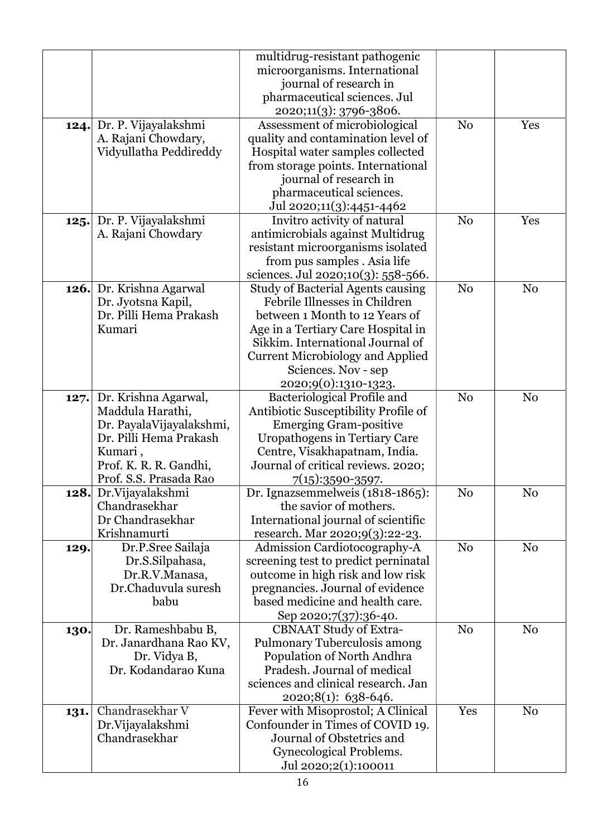|      |                          | multidrug-resistant pathogenic           |                |                |
|------|--------------------------|------------------------------------------|----------------|----------------|
|      |                          | microorganisms. International            |                |                |
|      |                          | journal of research in                   |                |                |
|      |                          | pharmaceutical sciences. Jul             |                |                |
|      |                          | 2020;11(3): 3796-3806.                   |                |                |
| 124. | Dr. P. Vijayalakshmi     | Assessment of microbiological            | N <sub>0</sub> | Yes            |
|      | A. Rajani Chowdary,      | quality and contamination level of       |                |                |
|      | Vidyullatha Peddireddy   | Hospital water samples collected         |                |                |
|      |                          | from storage points. International       |                |                |
|      |                          | journal of research in                   |                |                |
|      |                          | pharmaceutical sciences.                 |                |                |
|      |                          | Jul 2020;11(3):4451-4462                 |                |                |
| 125. | Dr. P. Vijayalakshmi     | Invitro activity of natural              | N <sub>0</sub> | Yes            |
|      | A. Rajani Chowdary       | antimicrobials against Multidrug         |                |                |
|      |                          | resistant microorganisms isolated        |                |                |
|      |                          | from pus samples. Asia life              |                |                |
|      |                          | sciences. Jul 2020;10(3): 558-566.       |                |                |
| 126. | Dr. Krishna Agarwal      | <b>Study of Bacterial Agents causing</b> | N <sub>0</sub> | N <sub>0</sub> |
|      | Dr. Jyotsna Kapil,       | Febrile Illnesses in Children            |                |                |
|      | Dr. Pilli Hema Prakash   | between 1 Month to 12 Years of           |                |                |
|      | Kumari                   | Age in a Tertiary Care Hospital in       |                |                |
|      |                          | Sikkim. International Journal of         |                |                |
|      |                          | <b>Current Microbiology and Applied</b>  |                |                |
|      |                          | Sciences. Nov - sep                      |                |                |
|      |                          | 2020;9(0):1310-1323.                     |                |                |
| 127. | Dr. Krishna Agarwal,     | Bacteriological Profile and              | N <sub>0</sub> | N <sub>0</sub> |
|      | Maddula Harathi,         | Antibiotic Susceptibility Profile of     |                |                |
|      | Dr. PayalaVijayalakshmi, | <b>Emerging Gram-positive</b>            |                |                |
|      | Dr. Pilli Hema Prakash   | Uropathogens in Tertiary Care            |                |                |
|      | Kumari,                  | Centre, Visakhapatnam, India.            |                |                |
|      | Prof. K. R. R. Gandhi,   | Journal of critical reviews. 2020;       |                |                |
|      | Prof. S.S. Prasada Rao   | $7(15):3590-3597.$                       |                |                |
|      | 128. Dr. Vijayalakshmi   | Dr. Ignazsemmelweis (1818-1865):         | No             | No             |
|      | Chandrasekhar            | the savior of mothers.                   |                |                |
|      | Dr Chandrasekhar         | International journal of scientific      |                |                |
|      | Krishnamurti             | research. Mar 2020;9(3):22-23.           |                |                |
| 129. | Dr.P.Sree Sailaja        | Admission Cardiotocography-A             | N <sub>0</sub> | N <sub>0</sub> |
|      | Dr.S.Silpahasa,          | screening test to predict perninatal     |                |                |
|      | Dr.R.V.Manasa,           | outcome in high risk and low risk        |                |                |
|      | Dr.Chaduvula suresh      | pregnancies. Journal of evidence         |                |                |
|      | babu                     | based medicine and health care.          |                |                |
|      |                          | Sep 2020;7(37):36-40.                    |                |                |
| 130. | Dr. Rameshbabu B,        | <b>CBNAAT Study of Extra-</b>            | N <sub>0</sub> | N <sub>0</sub> |
|      | Dr. Janardhana Rao KV,   | Pulmonary Tuberculosis among             |                |                |
|      | Dr. Vidya B,             | Population of North Andhra               |                |                |
|      | Dr. Kodandarao Kuna      | Pradesh. Journal of medical              |                |                |
|      |                          | sciences and clinical research. Jan      |                |                |
|      |                          | 2020;8(1): 638-646.                      |                |                |
| 131. | Chandrasekhar V          | Fever with Misoprostol; A Clinical       | Yes            | N <sub>0</sub> |
|      | Dr. Vijayalakshmi        | Confounder in Times of COVID 19.         |                |                |
|      | Chandrasekhar            | Journal of Obstetrics and                |                |                |
|      |                          | Gynecological Problems.                  |                |                |
|      |                          | Jul 2020;2(1):100011                     |                |                |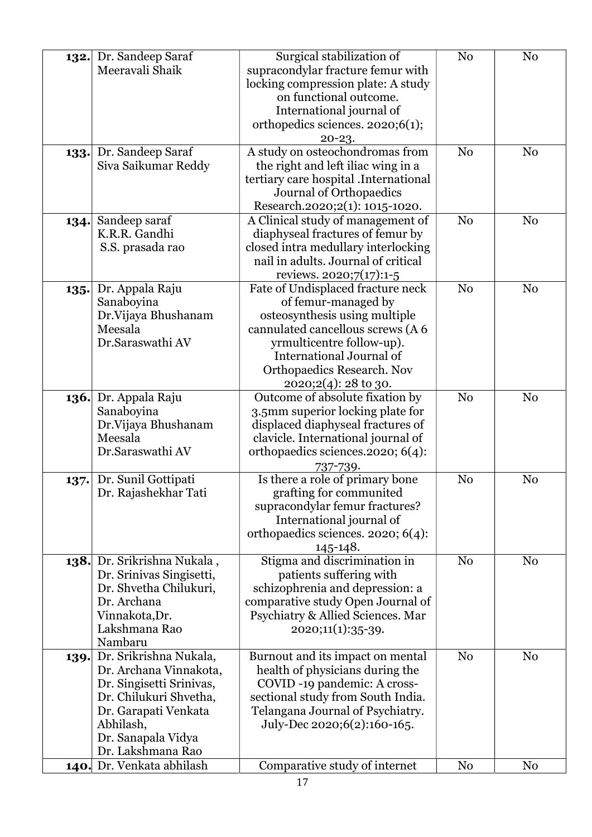| 132.        | Dr. Sandeep Saraf<br>Meeravali Shaik                                                                                                                                                   | Surgical stabilization of<br>supracondylar fracture femur with<br>locking compression plate: A study<br>on functional outcome.<br>International journal of<br>orthopedics sciences. 2020;6(1);<br>$20 - 23.$                                          | N <sub>0</sub> | N <sub>0</sub> |
|-------------|----------------------------------------------------------------------------------------------------------------------------------------------------------------------------------------|-------------------------------------------------------------------------------------------------------------------------------------------------------------------------------------------------------------------------------------------------------|----------------|----------------|
| 133.        | Dr. Sandeep Saraf<br>Siva Saikumar Reddy                                                                                                                                               | A study on osteochondromas from<br>the right and left iliac wing in a<br>tertiary care hospital .International<br>Journal of Orthopaedics<br>Research.2020;2(1): 1015-1020.                                                                           | N <sub>o</sub> | N <sub>0</sub> |
| 134.        | Sandeep saraf<br>K.R.R. Gandhi<br>S.S. prasada rao                                                                                                                                     | A Clinical study of management of<br>diaphyseal fractures of femur by<br>closed intra medullary interlocking<br>nail in adults. Journal of critical<br>reviews. 2020;7(17):1-5                                                                        | N <sub>0</sub> | N <sub>0</sub> |
| 135.        | Dr. Appala Raju<br>Sanaboyina<br>Dr.Vijaya Bhushanam<br>Meesala<br>Dr.Saraswathi AV                                                                                                    | Fate of Undisplaced fracture neck<br>of femur-managed by<br>osteosynthesis using multiple<br>cannulated cancellous screws (A 6<br>yrmulticentre follow-up).<br>International Journal of<br><b>Orthopaedics Research. Nov</b><br>$2020;2(4):28$ to 30. | N <sub>o</sub> | N <sub>0</sub> |
| 136.        | Dr. Appala Raju<br>Sanaboyina<br>Dr.Vijaya Bhushanam<br>Meesala<br>Dr.Saraswathi AV                                                                                                    | Outcome of absolute fixation by<br>3.5mm superior locking plate for<br>displaced diaphyseal fractures of<br>clavicle. International journal of<br>orthopaedics sciences.2020; 6(4):<br>737-739.                                                       | N <sub>0</sub> | N <sub>0</sub> |
| 137.        | Dr. Sunil Gottipati<br>Dr. Rajashekhar Tati                                                                                                                                            | Is there a role of primary bone<br>grafting for communited<br>supracondylar femur fractures?<br>International journal of<br>orthopaedics sciences. 2020; 6(4):<br>145-148.                                                                            | N <sub>o</sub> | N <sub>0</sub> |
| <b>138.</b> | Dr. Srikrishna Nukala,<br>Dr. Srinivas Singisetti,<br>Dr. Shvetha Chilukuri,<br>Dr. Archana<br>Vinnakota, Dr.<br>Lakshmana Rao<br>Nambaru                                              | Stigma and discrimination in<br>patients suffering with<br>schizophrenia and depression: a<br>comparative study Open Journal of<br>Psychiatry & Allied Sciences. Mar<br>2020;11(1):35-39.                                                             | N <sub>0</sub> | N <sub>0</sub> |
| 139.        | Dr. Srikrishna Nukala,<br>Dr. Archana Vinnakota,<br>Dr. Singisetti Srinivas,<br>Dr. Chilukuri Shvetha,<br>Dr. Garapati Venkata<br>Abhilash,<br>Dr. Sanapala Vidya<br>Dr. Lakshmana Rao | Burnout and its impact on mental<br>health of physicians during the<br>COVID -19 pandemic: A cross-<br>sectional study from South India.<br>Telangana Journal of Psychiatry.<br>July-Dec 2020;6(2):160-165.                                           | N <sub>0</sub> | N <sub>0</sub> |
| 140.        | Dr. Venkata abhilash                                                                                                                                                                   | Comparative study of internet                                                                                                                                                                                                                         | N <sub>0</sub> | N <sub>0</sub> |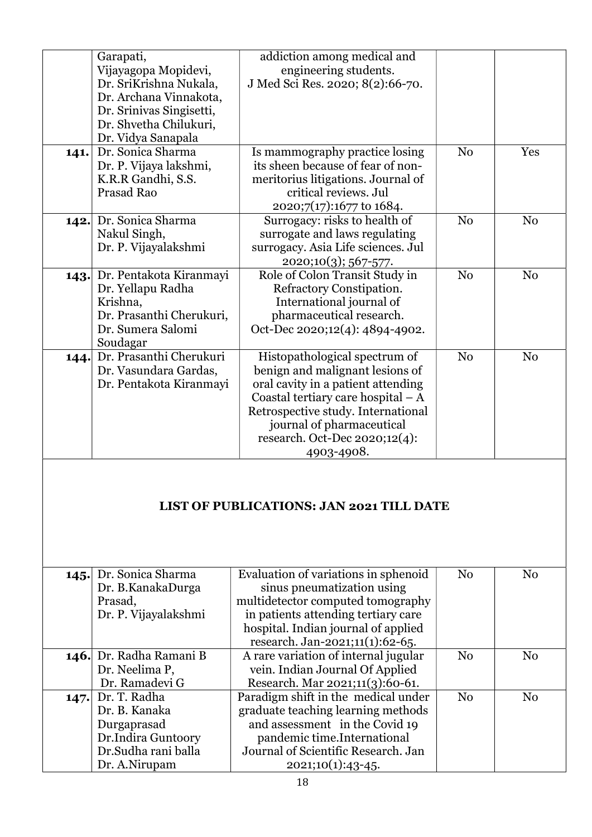|      | Garapati,<br>Vijayagopa Mopidevi,<br>Dr. SriKrishna Nukala,<br>Dr. Archana Vinnakota,<br>Dr. Srinivas Singisetti,<br>Dr. Shvetha Chilukuri, | addiction among medical and<br>engineering students.<br>J Med Sci Res. 2020; 8(2):66-70.                                                                                                                                                                        |                |                |
|------|---------------------------------------------------------------------------------------------------------------------------------------------|-----------------------------------------------------------------------------------------------------------------------------------------------------------------------------------------------------------------------------------------------------------------|----------------|----------------|
| 141. | Dr. Vidya Sanapala<br>Dr. Sonica Sharma<br>Dr. P. Vijaya lakshmi,<br>K.R.R Gandhi, S.S.<br>Prasad Rao                                       | Is mammography practice losing<br>its sheen because of fear of non-<br>meritorius litigations. Journal of<br>critical reviews. Jul<br>2020;7(17):1677 to 1684.                                                                                                  | No             | Yes            |
|      | 142. Dr. Sonica Sharma<br>Nakul Singh,<br>Dr. P. Vijayalakshmi                                                                              | Surrogacy: risks to health of<br>surrogate and laws regulating<br>surrogacy. Asia Life sciences. Jul<br>2020;10(3); 567-577.                                                                                                                                    | N <sub>0</sub> | N <sub>0</sub> |
|      | 143. Dr. Pentakota Kiranmayi<br>Dr. Yellapu Radha<br>Krishna,<br>Dr. Prasanthi Cherukuri,<br>Dr. Sumera Salomi<br>Soudagar                  | Role of Colon Transit Study in<br>Refractory Constipation.<br>International journal of<br>pharmaceutical research.<br>Oct-Dec 2020;12(4): 4894-4902.                                                                                                            | N <sub>0</sub> | N <sub>o</sub> |
| 144. | Dr. Prasanthi Cherukuri<br>Dr. Vasundara Gardas,<br>Dr. Pentakota Kiranmayi                                                                 | Histopathological spectrum of<br>benign and malignant lesions of<br>oral cavity in a patient attending<br>Coastal tertiary care hospital $-A$<br>Retrospective study. International<br>journal of pharmaceutical<br>research. Oct-Dec 2020;12(4):<br>4903-4908. | N <sub>0</sub> | N <sub>0</sub> |
|      |                                                                                                                                             |                                                                                                                                                                                                                                                                 |                |                |

## LIST OF PUBLICATIONS: JAN 2021 TILL DATE

| 145. Dr. Sonica Sharma   | Evaluation of variations in sphenoid | No | N <sub>0</sub> |
|--------------------------|--------------------------------------|----|----------------|
| Dr. B.KanakaDurga        | sinus pneumatization using           |    |                |
| Prasad,                  | multidetector computed tomography    |    |                |
| Dr. P. Vijayalakshmi     | in patients attending tertiary care  |    |                |
|                          | hospital. Indian journal of applied  |    |                |
|                          | research. Jan-2021;11(1):62-65.      |    |                |
| 146. Dr. Radha Ramani B  | A rare variation of internal jugular | No | N <sub>0</sub> |
| Dr. Neelima P,           | vein. Indian Journal Of Applied      |    |                |
| Dr. Ramadevi G           | Research. Mar 2021;11(3):60-61.      |    |                |
| <b>147.</b> Dr. T. Radha | Paradigm shift in the medical under  | No | N <sub>0</sub> |
| Dr. B. Kanaka            | graduate teaching learning methods   |    |                |
| Durgaprasad              | and assessment in the Covid 19       |    |                |
| Dr.Indira Guntoory       | pandemic time. International         |    |                |
| Dr.Sudha rani balla      | Journal of Scientific Research. Jan  |    |                |
| Dr. A.Nirupam            | $2021;10(1):43-45.$                  |    |                |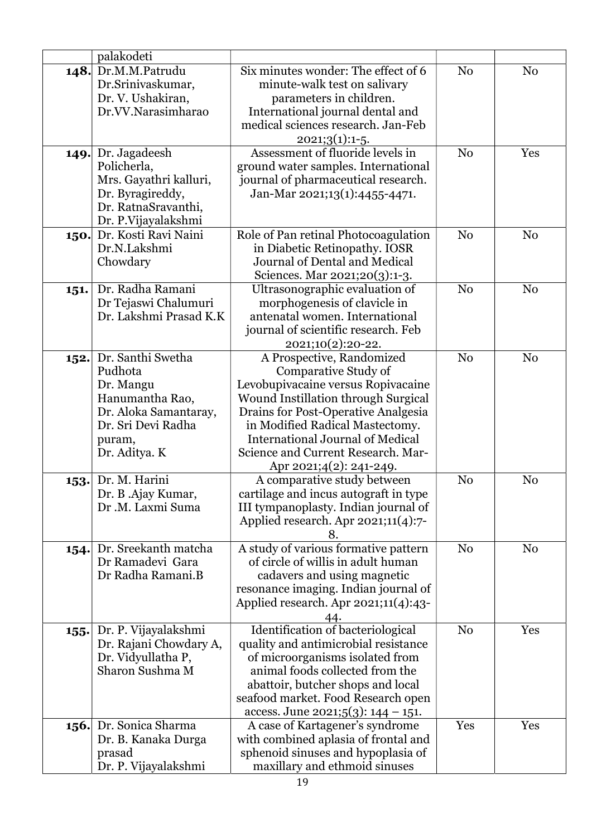|      | palakodeti                                                                                                                             |                                                                                                                                                                                                                                                                                                                             |                |                |
|------|----------------------------------------------------------------------------------------------------------------------------------------|-----------------------------------------------------------------------------------------------------------------------------------------------------------------------------------------------------------------------------------------------------------------------------------------------------------------------------|----------------|----------------|
|      | 148. Dr.M.M.Patrudu<br>Dr.Srinivaskumar,<br>Dr. V. Ushakiran,<br>Dr.VV.Narasimharao                                                    | Six minutes wonder: The effect of 6<br>minute-walk test on salivary<br>parameters in children.<br>International journal dental and<br>medical sciences research. Jan-Feb<br>$2021;3(1):1-5.$                                                                                                                                | N <sub>0</sub> | N <sub>o</sub> |
|      | 149. Dr. Jagadeesh<br>Policherla,<br>Mrs. Gayathri kalluri,<br>Dr. Byragireddy,<br>Dr. RatnaSravanthi,<br>Dr. P.Vijayalakshmi          | Assessment of fluoride levels in<br>ground water samples. International<br>journal of pharmaceutical research.<br>Jan-Mar 2021;13(1):4455-4471.                                                                                                                                                                             | N <sub>0</sub> | Yes            |
| 150. | Dr. Kosti Ravi Naini<br>Dr.N.Lakshmi<br>Chowdary                                                                                       | Role of Pan retinal Photocoagulation<br>in Diabetic Retinopathy. IOSR<br>Journal of Dental and Medical<br>Sciences. Mar 2021;20(3):1-3.                                                                                                                                                                                     | N <sub>o</sub> | N <sub>0</sub> |
| 151. | Dr. Radha Ramani<br>Dr Tejaswi Chalumuri<br>Dr. Lakshmi Prasad K.K                                                                     | Ultrasonographic evaluation of<br>morphogenesis of clavicle in<br>antenatal women. International<br>journal of scientific research. Feb<br>2021;10(2):20-22.                                                                                                                                                                | N <sub>0</sub> | N <sub>0</sub> |
| 152. | Dr. Santhi Swetha<br>Pudhota<br>Dr. Mangu<br>Hanumantha Rao,<br>Dr. Aloka Samantaray,<br>Dr. Sri Devi Radha<br>puram,<br>Dr. Aditya. K | A Prospective, Randomized<br>Comparative Study of<br>Levobupivacaine versus Ropivacaine<br><b>Wound Instillation through Surgical</b><br>Drains for Post-Operative Analgesia<br>in Modified Radical Mastectomy.<br><b>International Journal of Medical</b><br>Science and Current Research. Mar-<br>Apr 2021;4(2): 241-249. | N <sub>0</sub> | N <sub>o</sub> |
| 153. | Dr. M. Harini<br>Dr. B .Ajay Kumar,<br>Dr.M. Laxmi Suma                                                                                | A comparative study between<br>cartilage and incus autograft in type<br>III tympanoplasty. Indian journal of<br>Applied research. Apr $2021;11(4):7$ -<br>8.                                                                                                                                                                | N <sub>0</sub> | N <sub>0</sub> |
| 154. | Dr. Sreekanth matcha<br>Dr Ramadevi Gara<br>Dr Radha Ramani.B                                                                          | A study of various formative pattern<br>of circle of willis in adult human<br>cadavers and using magnetic<br>resonance imaging. Indian journal of<br>Applied research. Apr $2021;11(4):43$ -                                                                                                                                | N <sub>0</sub> | N <sub>o</sub> |
| 155. | Dr. P. Vijayalakshmi<br>Dr. Rajani Chowdary A,<br>Dr. Vidyullatha P,<br>Sharon Sushma M                                                | <b>Identification of bacteriological</b><br>quality and antimicrobial resistance<br>of microorganisms isolated from<br>animal foods collected from the<br>abattoir, butcher shops and local<br>seafood market. Food Research open<br>access. June 2021;5(3): $144 - 151$ .                                                  | N <sub>o</sub> | Yes            |
| 156. | Dr. Sonica Sharma<br>Dr. B. Kanaka Durga<br>prasad<br>Dr. P. Vijayalakshmi                                                             | A case of Kartagener's syndrome<br>with combined aplasia of frontal and<br>sphenoid sinuses and hypoplasia of<br>maxillary and ethmoid sinuses                                                                                                                                                                              | Yes            | Yes            |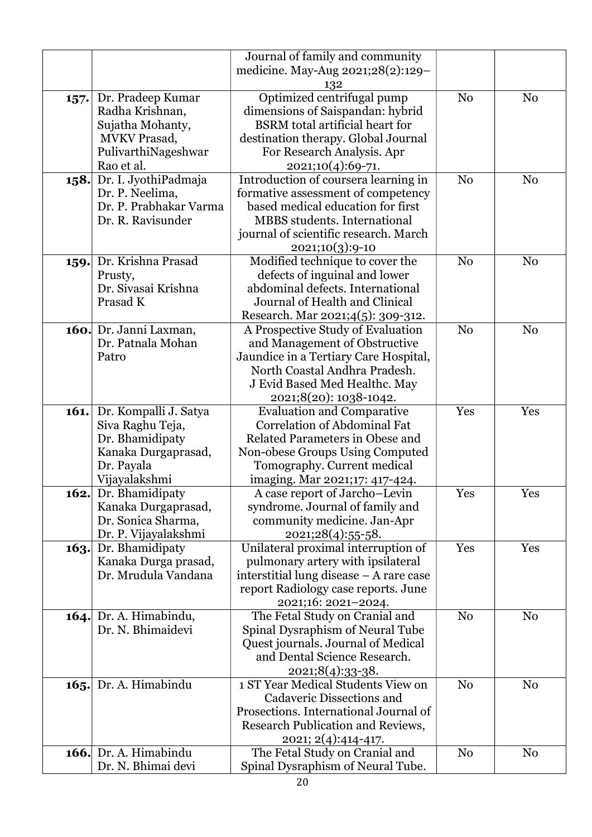|             |                                   | Journal of family and community                                 |                |                |
|-------------|-----------------------------------|-----------------------------------------------------------------|----------------|----------------|
|             |                                   | medicine. May-Aug 2021;28(2):129-                               |                |                |
|             |                                   | 132                                                             |                |                |
| 157.        | Dr. Pradeep Kumar                 | Optimized centrifugal pump                                      | N <sub>0</sub> | N <sub>0</sub> |
|             | Radha Krishnan,                   | dimensions of Saispandan: hybrid                                |                |                |
|             | Sujatha Mohanty,                  | <b>BSRM</b> total artificial heart for                          |                |                |
|             | <b>MVKV</b> Prasad,               | destination therapy. Global Journal                             |                |                |
|             | PulivarthiNageshwar               | For Research Analysis. Apr                                      |                |                |
|             | Rao et al.                        | 2021;10(4):69-71.                                               |                |                |
| 158.        | Dr. I. JyothiPadmaja              | Introduction of coursera learning in                            | N <sub>o</sub> | N <sub>0</sub> |
|             | Dr. P. Neelima,                   | formative assessment of competency                              |                |                |
|             | Dr. P. Prabhakar Varma            | based medical education for first                               |                |                |
|             | Dr. R. Ravisunder                 | <b>MBBS</b> students. International                             |                |                |
|             |                                   | journal of scientific research. March                           |                |                |
|             |                                   | 2021;10(3):9-10                                                 |                |                |
| 159.        | Dr. Krishna Prasad                | Modified technique to cover the                                 | N <sub>o</sub> | N <sub>0</sub> |
|             | Prusty,                           | defects of inguinal and lower                                   |                |                |
|             | Dr. Sivasai Krishna               | abdominal defects. International                                |                |                |
|             | Prasad K                          | Journal of Health and Clinical                                  |                |                |
|             |                                   | Research. Mar 2021;4(5): 309-312.                               |                |                |
|             | 160. Dr. Janni Laxman,            | A Prospective Study of Evaluation                               | N <sub>o</sub> | N <sub>0</sub> |
|             | Dr. Patnala Mohan                 | and Management of Obstructive                                   |                |                |
|             | Patro                             | Jaundice in a Tertiary Care Hospital,                           |                |                |
|             |                                   | North Coastal Andhra Pradesh.                                   |                |                |
|             |                                   | J Evid Based Med Healthc. May                                   |                |                |
|             |                                   | 2021;8(20): 1038-1042.                                          |                |                |
| 161.        | Dr. Kompalli J. Satya             | <b>Evaluation and Comparative</b>                               | Yes            | Yes            |
|             | Siva Raghu Teja,                  | <b>Correlation of Abdominal Fat</b>                             |                |                |
|             | Dr. Bhamidipaty                   | Related Parameters in Obese and                                 |                |                |
|             | Kanaka Durgaprasad,<br>Dr. Payala | Non-obese Groups Using Computed                                 |                |                |
|             | Vijayalakshmi                     | Tomography. Current medical                                     |                |                |
|             | <b>162.</b> Dr. Bhamidipaty       | imaging. Mar 2021;17: 417-424.<br>A case report of Jarcho-Levin | Yes            | Yes            |
|             | Kanaka Durgaprasad,               | syndrome. Journal of family and                                 |                |                |
|             | Dr. Sonica Sharma,                | community medicine. Jan-Apr                                     |                |                |
|             | Dr. P. Vijayalakshmi              | 2021;28(4):55-58.                                               |                |                |
| 163.        | Dr. Bhamidipaty                   | Unilateral proximal interruption of                             | Yes            | Yes            |
|             | Kanaka Durga prasad,              | pulmonary artery with ipsilateral                               |                |                |
|             | Dr. Mrudula Vandana               | interstitial lung disease – A rare case                         |                |                |
|             |                                   | report Radiology case reports. June                             |                |                |
|             |                                   | 2021;16: 2021-2024.                                             |                |                |
| 164.        | Dr. A. Himabindu,                 | The Fetal Study on Cranial and                                  | N <sub>0</sub> | No             |
|             | Dr. N. Bhimaidevi                 | Spinal Dysraphism of Neural Tube                                |                |                |
|             |                                   | Quest journals. Journal of Medical                              |                |                |
|             |                                   | and Dental Science Research.                                    |                |                |
|             |                                   | $2021;8(4):33-38.$                                              |                |                |
| 165.        | Dr. A. Himabindu                  | 1 ST Year Medical Students View on                              | N <sub>o</sub> | N <sub>o</sub> |
|             |                                   | Cadaveric Dissections and                                       |                |                |
|             |                                   | Prosections. International Journal of                           |                |                |
|             |                                   | Research Publication and Reviews,                               |                |                |
|             |                                   | 2021; 2(4):414-417.                                             |                |                |
| <b>166.</b> | Dr. A. Himabindu                  | The Fetal Study on Cranial and                                  | N <sub>0</sub> | N <sub>0</sub> |
|             | Dr. N. Bhimai devi                | Spinal Dysraphism of Neural Tube.                               |                |                |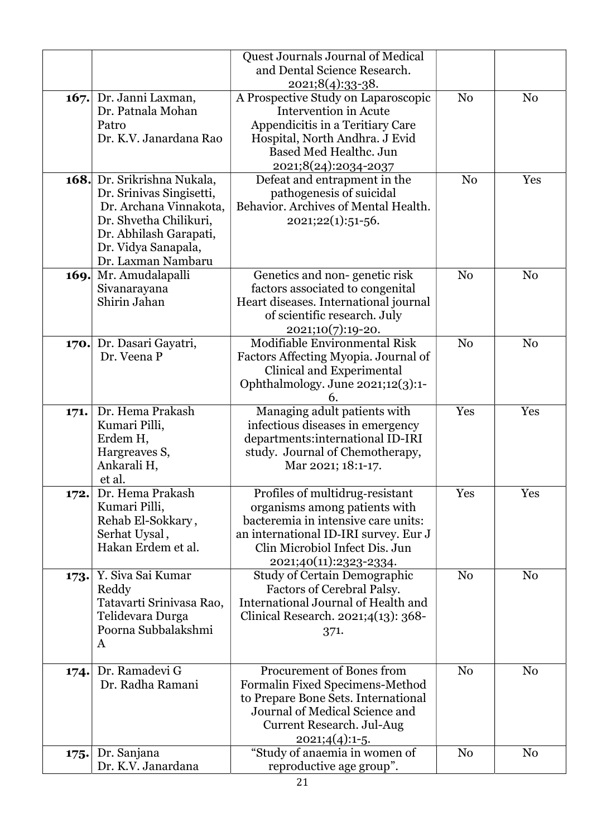|      |                                           | Quest Journals Journal of Medical                             |                |                |
|------|-------------------------------------------|---------------------------------------------------------------|----------------|----------------|
|      |                                           | and Dental Science Research.<br>2021;8(4):33-38.              |                |                |
|      | 167. Dr. Janni Laxman,                    | A Prospective Study on Laparoscopic                           | N <sub>o</sub> | N <sub>0</sub> |
|      | Dr. Patnala Mohan                         | <b>Intervention</b> in Acute                                  |                |                |
|      | Patro                                     | Appendicitis in a Teritiary Care                              |                |                |
|      | Dr. K.V. Janardana Rao                    | Hospital, North Andhra. J Evid                                |                |                |
|      |                                           | <b>Based Med Healthc. Jun</b>                                 |                |                |
|      |                                           | 2021;8(24):2034-2037                                          |                |                |
|      | 168. Dr. Srikrishna Nukala,               | Defeat and entrapment in the                                  | N <sub>0</sub> | Yes            |
|      | Dr. Srinivas Singisetti,                  | pathogenesis of suicidal                                      |                |                |
|      | Dr. Archana Vinnakota,                    | Behavior. Archives of Mental Health.                          |                |                |
|      | Dr. Shvetha Chilikuri,                    | $2021;22(1):51-56.$                                           |                |                |
|      | Dr. Abhilash Garapati,                    |                                                               |                |                |
|      | Dr. Vidya Sanapala,<br>Dr. Laxman Nambaru |                                                               |                |                |
| 169. | Mr. Amudalapalli                          | Genetics and non-genetic risk                                 | N <sub>0</sub> | N <sub>0</sub> |
|      | Sivanarayana                              | factors associated to congenital                              |                |                |
|      | Shirin Jahan                              | Heart diseases. International journal                         |                |                |
|      |                                           | of scientific research. July                                  |                |                |
|      |                                           | 2021;10(7):19-20.                                             |                |                |
| 170. | Dr. Dasari Gayatri,                       | Modifiable Environmental Risk                                 | N <sub>o</sub> | N <sub>0</sub> |
|      | Dr. Veena P                               | Factors Affecting Myopia. Journal of                          |                |                |
|      |                                           | Clinical and Experimental                                     |                |                |
|      |                                           | Ophthalmology. June 2021;12(3):1-                             |                |                |
|      | Dr. Hema Prakash                          | 6.<br>Managing adult patients with                            | Yes            | Yes            |
| 171. | Kumari Pilli,                             | infectious diseases in emergency                              |                |                |
|      | Erdem H,                                  | departments:international ID-IRI                              |                |                |
|      | Hargreaves S,                             | study. Journal of Chemotherapy,                               |                |                |
|      | Ankarali H,                               | Mar 2021; 18:1-17.                                            |                |                |
|      | et al.                                    |                                                               |                |                |
| 172. | Dr. Hema Prakash                          | Profiles of multidrug-resistant                               | Yes            | Yes            |
|      | Kumari Pilli,                             | organisms among patients with                                 |                |                |
|      | Rehab El-Sokkary,                         | bacteremia in intensive care units:                           |                |                |
|      | Serhat Uysal,                             | an international ID-IRI survey. Eur J                         |                |                |
|      | Hakan Erdem et al.                        | Clin Microbiol Infect Dis. Jun                                |                |                |
|      | Y. Siva Sai Kumar                         | 2021;40(11):2323-2334.<br><b>Study of Certain Demographic</b> | N <sub>0</sub> | N <sub>0</sub> |
| 173. | Reddy                                     | Factors of Cerebral Palsy.                                    |                |                |
|      | Tatavarti Srinivasa Rao,                  | International Journal of Health and                           |                |                |
|      | Telidevara Durga                          | Clinical Research. 2021;4(13): 368-                           |                |                |
|      | Poorna Subbalakshmi                       | 371.                                                          |                |                |
|      | A                                         |                                                               |                |                |
|      |                                           |                                                               |                |                |
| 174. | Dr. Ramadevi G                            | Procurement of Bones from                                     | N <sub>0</sub> | N <sub>0</sub> |
|      | Dr. Radha Ramani                          | Formalin Fixed Specimens-Method                               |                |                |
|      |                                           | to Prepare Bone Sets. International                           |                |                |
|      |                                           | Journal of Medical Science and<br>Current Research. Jul-Aug   |                |                |
|      |                                           | $2021;4(4):1-5.$                                              |                |                |
| 175. | Dr. Sanjana                               | "Study of anaemia in women of                                 | N <sub>0</sub> | N <sub>0</sub> |
|      | Dr. K.V. Janardana                        | reproductive age group".                                      |                |                |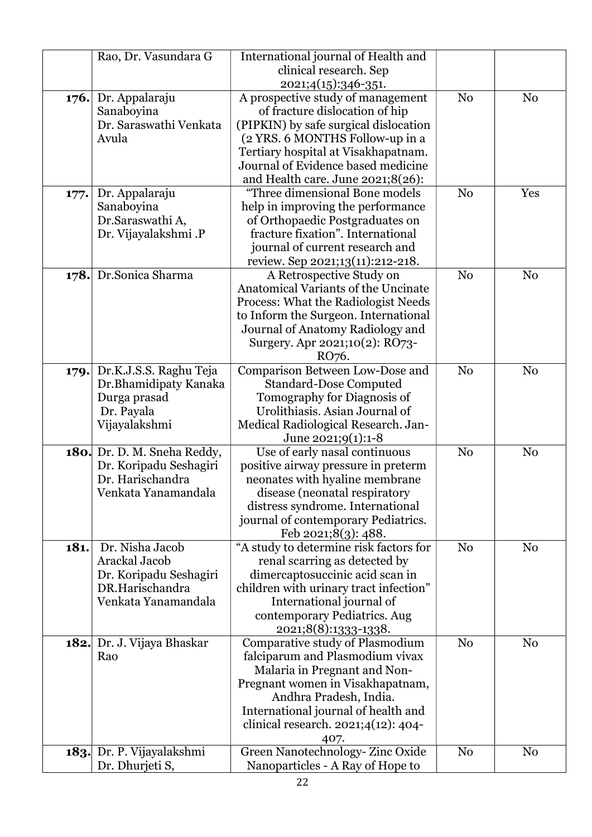|      | Rao, Dr. Vasundara G                       | International journal of Health and                                     |                |                |
|------|--------------------------------------------|-------------------------------------------------------------------------|----------------|----------------|
|      |                                            | clinical research. Sep                                                  |                |                |
|      |                                            | 2021;4(15):346-351.                                                     |                |                |
| 176. | Dr. Appalaraju                             | A prospective study of management                                       | N <sub>0</sub> | N <sub>0</sub> |
|      | Sanaboyina                                 | of fracture dislocation of hip                                          |                |                |
|      | Dr. Saraswathi Venkata                     | (PIPKIN) by safe surgical dislocation                                   |                |                |
|      | Avula                                      | (2 YRS. 6 MONTHS Follow-up in a                                         |                |                |
|      |                                            | Tertiary hospital at Visakhapatnam.                                     |                |                |
|      |                                            | Journal of Evidence based medicine                                      |                |                |
|      |                                            | and Health care. June 2021;8(26):                                       |                |                |
| 177. | Dr. Appalaraju                             | "Three dimensional Bone models                                          | N <sub>0</sub> | Yes            |
|      | Sanaboyina                                 | help in improving the performance                                       |                |                |
|      | Dr.Saraswathi A,                           | of Orthopaedic Postgraduates on                                         |                |                |
|      | Dr. Vijayalakshmi .P                       | fracture fixation". International                                       |                |                |
|      |                                            | journal of current research and                                         |                |                |
|      |                                            | review. Sep 2021;13(11):212-218.                                        |                |                |
| 178. | Dr.Sonica Sharma                           | A Retrospective Study on                                                | N <sub>0</sub> | N <sub>0</sub> |
|      |                                            | Anatomical Variants of the Uncinate                                     |                |                |
|      |                                            | Process: What the Radiologist Needs                                     |                |                |
|      |                                            | to Inform the Surgeon. International                                    |                |                |
|      |                                            | Journal of Anatomy Radiology and                                        |                |                |
|      |                                            | Surgery. Apr 2021;10(2): RO73-                                          |                |                |
|      |                                            | RO <sub>76</sub> .                                                      |                |                |
| 179. | Dr.K.J.S.S. Raghu Teja                     | Comparison Between Low-Dose and                                         | N <sub>0</sub> | N <sub>0</sub> |
|      | Dr.Bhamidipaty Kanaka                      | <b>Standard-Dose Computed</b>                                           |                |                |
|      | Durga prasad                               | Tomography for Diagnosis of                                             |                |                |
|      | Dr. Payala                                 | Urolithiasis. Asian Journal of                                          |                |                |
|      | Vijayalakshmi                              | Medical Radiological Research. Jan-                                     |                |                |
|      |                                            | June 2021;9(1):1-8                                                      |                |                |
|      | 180. Dr. D. M. Sneha Reddy,                | Use of early nasal continuous                                           | N <sub>0</sub> | N <sub>0</sub> |
|      | Dr. Koripadu Seshagiri<br>Dr. Harischandra | positive airway pressure in preterm                                     |                |                |
|      | Venkata Yanamandala                        | neonates with hyaline membrane                                          |                |                |
|      |                                            | disease (neonatal respiratory                                           |                |                |
|      |                                            | distress syndrome. International<br>journal of contemporary Pediatrics. |                |                |
|      |                                            | <u>Feb 2021;8(3): 488.</u>                                              |                |                |
| 181. | Dr. Nisha Jacob                            | "A study to determine risk factors for                                  | N <sub>0</sub> | N <sub>o</sub> |
|      | Arackal Jacob                              | renal scarring as detected by                                           |                |                |
|      | Dr. Koripadu Seshagiri                     | dimercaptosuccinic acid scan in                                         |                |                |
|      | DR.Harischandra                            | children with urinary tract infection"                                  |                |                |
|      | Venkata Yanamandala                        | International journal of                                                |                |                |
|      |                                            | contemporary Pediatrics. Aug                                            |                |                |
|      |                                            | 2021;8(8):1333-1338.                                                    |                |                |
|      | 182. Dr. J. Vijaya Bhaskar                 | Comparative study of Plasmodium                                         | N <sub>0</sub> | N <sub>0</sub> |
|      | Rao                                        | falciparum and Plasmodium vivax                                         |                |                |
|      |                                            | Malaria in Pregnant and Non-                                            |                |                |
|      |                                            | Pregnant women in Visakhapatnam,                                        |                |                |
|      |                                            | Andhra Pradesh, India.                                                  |                |                |
|      |                                            | International journal of health and                                     |                |                |
|      |                                            | clinical research. $2021;4(12):404-$                                    |                |                |
|      |                                            | 407.                                                                    |                |                |
| 183. | Dr. P. Vijayalakshmi                       | Green Nanotechnology-Zinc Oxide                                         | N <sub>0</sub> | N <sub>0</sub> |
|      | Dr. Dhurjeti S,                            | Nanoparticles - A Ray of Hope to                                        |                |                |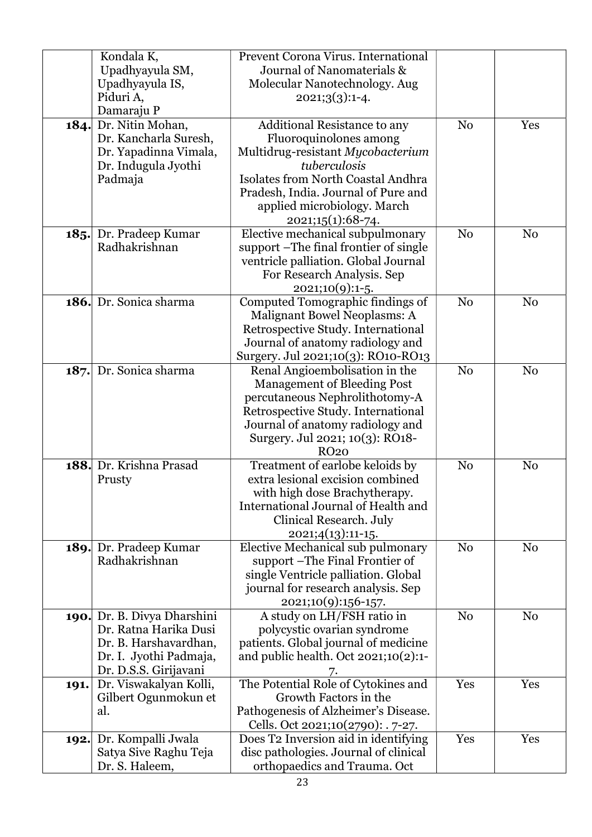|             | Kondala K,                  | Prevent Corona Virus. International     |                |                |
|-------------|-----------------------------|-----------------------------------------|----------------|----------------|
|             |                             | Journal of Nanomaterials &              |                |                |
|             | Upadhyayula SM,             |                                         |                |                |
|             | Upadhyayula IS,             | Molecular Nanotechnology. Aug           |                |                |
|             | Piduri A,                   | $2021;3(3):1-4.$                        |                |                |
|             | Damaraju P                  |                                         |                |                |
| 184.        | Dr. Nitin Mohan,            | Additional Resistance to any            | N <sub>0</sub> | Yes            |
|             | Dr. Kancharla Suresh,       | Fluoroquinolones among                  |                |                |
|             | Dr. Yapadinna Vimala,       | Multidrug-resistant Mycobacterium       |                |                |
|             | Dr. Indugula Jyothi         | tuberculosis                            |                |                |
|             | Padmaja                     | Isolates from North Coastal Andhra      |                |                |
|             |                             | Pradesh, India. Journal of Pure and     |                |                |
|             |                             | applied microbiology. March             |                |                |
|             |                             | 2021;15(1):68-74.                       |                |                |
| 185.        | Dr. Pradeep Kumar           | Elective mechanical subpulmonary        | N <sub>0</sub> | N <sub>0</sub> |
|             | Radhakrishnan               | support -The final frontier of single   |                |                |
|             |                             | ventricle palliation. Global Journal    |                |                |
|             |                             | For Research Analysis. Sep              |                |                |
|             |                             | $2021;10(9):1-5.$                       |                |                |
| <b>186.</b> | Dr. Sonica sharma           | Computed Tomographic findings of        | N <sub>o</sub> | N <sub>0</sub> |
|             |                             | Malignant Bowel Neoplasms: A            |                |                |
|             |                             | Retrospective Study. International      |                |                |
|             |                             | Journal of anatomy radiology and        |                |                |
|             |                             | Surgery. Jul 2021;10(3): RO10-RO13      |                |                |
| 187.        | Dr. Sonica sharma           | Renal Angioembolisation in the          | N <sub>o</sub> | N <sub>o</sub> |
|             |                             | <b>Management of Bleeding Post</b>      |                |                |
|             |                             | percutaneous Nephrolithotomy-A          |                |                |
|             |                             | Retrospective Study. International      |                |                |
|             |                             | Journal of anatomy radiology and        |                |                |
|             |                             | Surgery. Jul 2021; 10(3): RO18-         |                |                |
|             |                             | <b>RO20</b>                             |                |                |
| 188.        | Dr. Krishna Prasad          | Treatment of earlobe keloids by         | N <sub>0</sub> | N <sub>0</sub> |
|             | Prusty                      | extra lesional excision combined        |                |                |
|             |                             | with high dose Brachytherapy.           |                |                |
|             |                             | International Journal of Health and     |                |                |
|             |                             | Clinical Research. July                 |                |                |
|             |                             | 2021;4(13):11-15.                       |                |                |
| 189.        | Dr. Pradeep Kumar           | Elective Mechanical sub pulmonary       | N <sub>0</sub> | N <sub>0</sub> |
|             | Radhakrishnan               | support – The Final Frontier of         |                |                |
|             |                             | single Ventricle palliation. Global     |                |                |
|             |                             | journal for research analysis. Sep      |                |                |
|             |                             | 2021;10(9):156-157.                     |                |                |
|             | 190. Dr. B. Divya Dharshini | A study on LH/FSH ratio in              | N <sub>o</sub> | N <sub>0</sub> |
|             | Dr. Ratna Harika Dusi       | polycystic ovarian syndrome             |                |                |
|             | Dr. B. Harshavardhan,       | patients. Global journal of medicine    |                |                |
|             | Dr. I. Jyothi Padmaja,      | and public health. Oct $2021;10(2):1$ - |                |                |
|             | Dr. D.S.S. Girijavani       | 7.                                      |                |                |
| 191.        | Dr. Viswakalyan Kolli,      | The Potential Role of Cytokines and     | Yes            | Yes            |
|             | Gilbert Ogunmokun et        | Growth Factors in the                   |                |                |
|             | al.                         | Pathogenesis of Alzheimer's Disease.    |                |                |
|             |                             | Cells. Oct 2021;10(2790): . 7-27.       |                |                |
| 192.        | Dr. Kompalli Jwala          | Does T2 Inversion aid in identifying    | Yes            | Yes            |
|             | Satya Sive Raghu Teja       | disc pathologies. Journal of clinical   |                |                |
|             | Dr. S. Haleem,              | orthopaedics and Trauma. Oct            |                |                |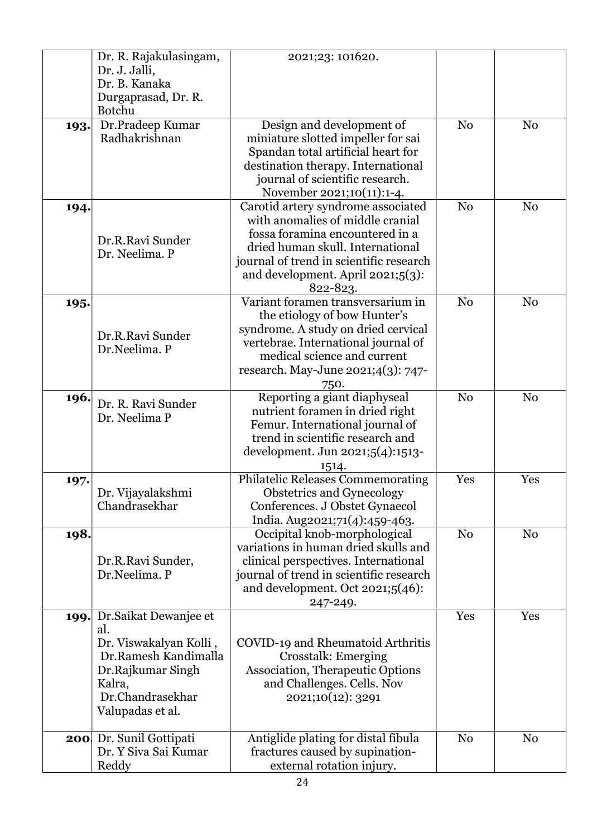|      | Dr. R. Rajakulasingam,<br>Dr. J. Jalli,<br>Dr. B. Kanaka<br>Durgaprasad, Dr. R.                                                                             | 2021;23: 101620.                                                                                                                                                                                                                          |                |                |
|------|-------------------------------------------------------------------------------------------------------------------------------------------------------------|-------------------------------------------------------------------------------------------------------------------------------------------------------------------------------------------------------------------------------------------|----------------|----------------|
| 193. | <b>Botchu</b><br>Dr.Pradeep Kumar<br>Radhakrishnan                                                                                                          | Design and development of<br>miniature slotted impeller for sai<br>Spandan total artificial heart for<br>destination therapy. International<br>journal of scientific research.<br>November 2021;10(11):1-4.                               | N <sub>0</sub> | N <sub>0</sub> |
| 194. | Dr.R.Ravi Sunder<br>Dr. Neelima. P                                                                                                                          | Carotid artery syndrome associated<br>with anomalies of middle cranial<br>fossa foramina encountered in a<br>dried human skull. International<br>journal of trend in scientific research<br>and development. April 2021;5(3):<br>822-823. | N <sub>0</sub> | N <sub>0</sub> |
| 195. | Dr.R.Ravi Sunder<br>Dr.Neelima. P                                                                                                                           | Variant foramen transversarium in<br>the etiology of bow Hunter's<br>syndrome. A study on dried cervical<br>vertebrae. International journal of<br>medical science and current<br>research. May-June 2021;4(3): 747-<br>750.              | N <sub>o</sub> | N <sub>0</sub> |
| 196. | Dr. R. Ravi Sunder<br>Dr. Neelima P                                                                                                                         | Reporting a giant diaphyseal<br>nutrient foramen in dried right<br>Femur. International journal of<br>trend in scientific research and<br>development. Jun 2021;5(4):1513-<br>1514.                                                       | N <sub>0</sub> | N <sub>0</sub> |
| 197. | Dr. Vijayalakshmi<br>Chandrasekhar                                                                                                                          | Philatelic Releases Commemorating<br><b>Obstetrics and Gynecology</b><br>Conferences. J Obstet Gynaecol<br>India. Aug2021;71(4):459-463.                                                                                                  | Yes            | Yes            |
| 198. | Dr.R.Ravi Sunder,<br>Dr.Neelima. P                                                                                                                          | Occipital knob-morphological<br>variations in human dried skulls and<br>clinical perspectives. International<br>journal of trend in scientific research<br>and development. Oct $2021;5(46)$ :<br>247-249.                                | N <sub>0</sub> | N <sub>o</sub> |
|      | 199. Dr. Saikat Dewanjee et<br>al.<br>Dr. Viswakalyan Kolli,<br>Dr.Ramesh Kandimalla<br>Dr.Rajkumar Singh<br>Kalra,<br>Dr.Chandrasekhar<br>Valupadas et al. | COVID-19 and Rheumatoid Arthritis<br>Crosstalk: Emerging<br>Association, Therapeutic Options<br>and Challenges. Cells. Nov<br>2021;10(12): 3291                                                                                           | Yes            | Yes            |
|      | <b>200</b> Dr. Sunil Gottipati<br>Dr. Y Siva Sai Kumar<br>Reddy                                                                                             | Antiglide plating for distal fibula<br>fractures caused by supination-<br>external rotation injury.                                                                                                                                       | N <sub>0</sub> | N <sub>0</sub> |